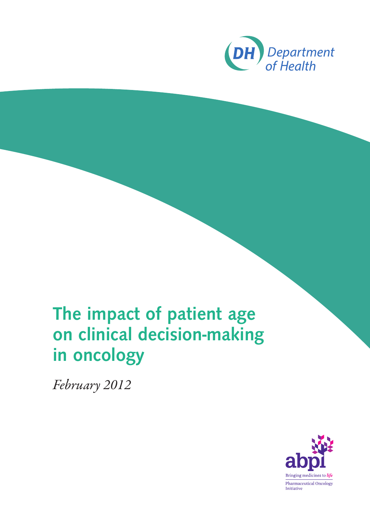

# The impact of patient age on clinical decision-making in oncology

*February 2012*

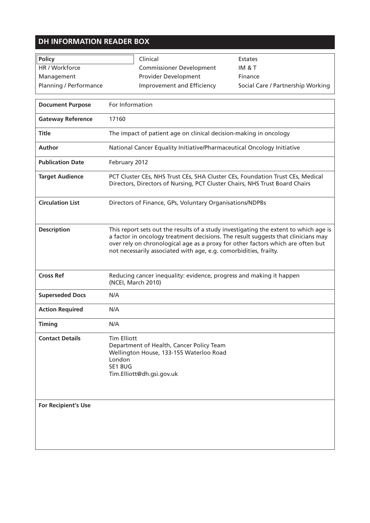### **DH INFORMATION READER BOX**

 $\Gamma$ 

| Policy                 | Clinical                        | <b>Estates</b>                    |
|------------------------|---------------------------------|-----------------------------------|
| HR / Workforce         | <b>Commissioner Development</b> | IM & T                            |
| Management             | <b>Provider Development</b>     | Finance                           |
| Planning / Performance | Improvement and Efficiency      | Social Care / Partnership Working |

Ė

| <b>Document Purpose</b>    | For Information                                                                                                                                                                                                                                                                                                                   |
|----------------------------|-----------------------------------------------------------------------------------------------------------------------------------------------------------------------------------------------------------------------------------------------------------------------------------------------------------------------------------|
| <b>Gateway Reference</b>   | 17160                                                                                                                                                                                                                                                                                                                             |
| <b>Title</b>               | The impact of patient age on clinical decision-making in oncology                                                                                                                                                                                                                                                                 |
| <b>Author</b>              | National Cancer Equality Initiative/Pharmaceutical Oncology Initiative                                                                                                                                                                                                                                                            |
| <b>Publication Date</b>    | February 2012                                                                                                                                                                                                                                                                                                                     |
| <b>Target Audience</b>     | PCT Cluster CEs, NHS Trust CEs, SHA Cluster CEs, Foundation Trust CEs, Medical<br>Directors, Directors of Nursing, PCT Cluster Chairs, NHS Trust Board Chairs                                                                                                                                                                     |
| <b>Circulation List</b>    | Directors of Finance, GPs, Voluntary Organisations/NDPBs                                                                                                                                                                                                                                                                          |
| <b>Description</b>         | This report sets out the results of a study investigating the extent to which age is<br>a factor in oncology treatment decisions. The result suggests that clinicians may<br>over rely on chronological age as a proxy for other factors which are often but<br>not necessarily associated with age, e.g. comorbidities, frailty. |
| <b>Cross Ref</b>           | Reducing cancer inequality: evidence, progress and making it happen<br>(NCEI, March 2010)                                                                                                                                                                                                                                         |
| <b>Superseded Docs</b>     | N/A                                                                                                                                                                                                                                                                                                                               |
| <b>Action Required</b>     | N/A                                                                                                                                                                                                                                                                                                                               |
| <b>Timing</b>              | N/A                                                                                                                                                                                                                                                                                                                               |
| <b>Contact Details</b>     | <b>Tim Elliott</b><br>Department of Health, Cancer Policy Team<br>Wellington House, 133-155 Waterloo Road<br>London<br><b>SE1 8UG</b><br>Tim.Elliott@dh.gsi.gov.uk                                                                                                                                                                |
| <b>For Recipient's Use</b> |                                                                                                                                                                                                                                                                                                                                   |

 $\mathcal{L}^{\mathcal{L}}(\mathcal{L}^{\mathcal{L}})$  and  $\mathcal{L}^{\mathcal{L}}(\mathcal{L}^{\mathcal{L}})$  . In the contract of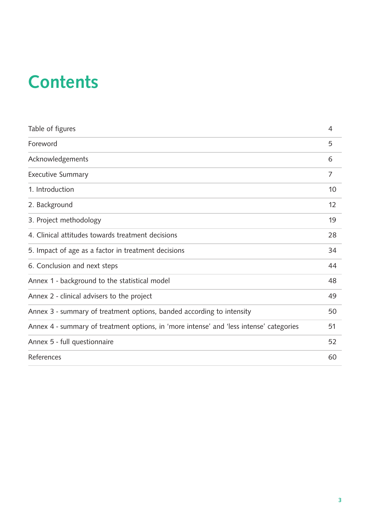# **Contents**

| Table of figures                                                                        | 4  |
|-----------------------------------------------------------------------------------------|----|
| Foreword                                                                                | 5  |
| Acknowledgements                                                                        | 6  |
| <b>Executive Summary</b>                                                                | 7  |
| 1. Introduction                                                                         | 10 |
| 2. Background                                                                           | 12 |
| 3. Project methodology                                                                  | 19 |
| 4. Clinical attitudes towards treatment decisions                                       | 28 |
| 5. Impact of age as a factor in treatment decisions                                     | 34 |
| 6. Conclusion and next steps                                                            | 44 |
| Annex 1 - background to the statistical model                                           | 48 |
| Annex 2 - clinical advisers to the project                                              | 49 |
| Annex 3 - summary of treatment options, banded according to intensity                   | 50 |
| Annex 4 - summary of treatment options, in 'more intense' and 'less intense' categories | 51 |
| Annex 5 - full questionnaire                                                            | 52 |
| References                                                                              | 60 |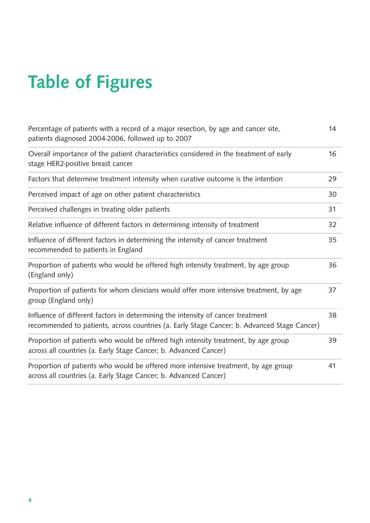# Table of Figures

| Percentage of patients with a record of a major resection, by age and cancer site,<br>patients diagnosed 2004-2006, followed up to 2007                                        | 14 |
|--------------------------------------------------------------------------------------------------------------------------------------------------------------------------------|----|
| Overall importance of the patient characteristics considered in the treatment of early<br>stage HER2-positive breast cancer                                                    | 16 |
| Factors that determine treatment intensity when curative outcome is the intention                                                                                              | 29 |
| Perceived impact of age on other patient characteristics                                                                                                                       | 30 |
| Perceived challenges in treating older patients                                                                                                                                | 31 |
| Relative influence of different factors in determining intensity of treatment                                                                                                  | 32 |
| Influence of different factors in determining the intensity of cancer treatment<br>recommended to patients in England                                                          | 35 |
| Proportion of patients who would be offered high intensity treatment, by age group<br>(England only)                                                                           | 36 |
| Proportion of patients for whom clinicians would offer more intensive treatment, by age<br>group (England only)                                                                | 37 |
| Influence of different factors in determining the intensity of cancer treatment<br>recommended to patients, across countries (a. Early Stage Cancer; b. Advanced Stage Cancer) | 38 |
| Proportion of patients who would be offered high intensity treatment, by age group<br>across all countries (a. Early Stage Cancer; b. Advanced Cancer)                         | 39 |
| Proportion of patients who would be offered more intensive treatment, by age group<br>across all countries (a. Early Stage Cancer; b. Advanced Cancer)                         | 41 |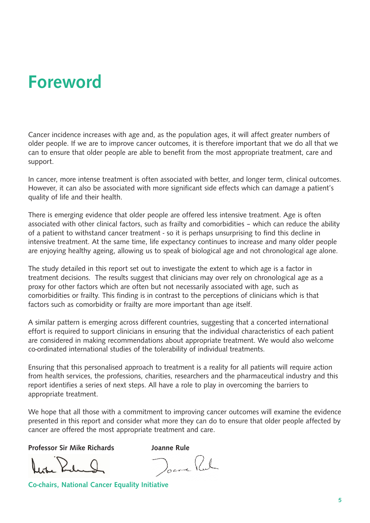# Foreword

Cancer incidence increases with age and, as the population ages, it will affect greater numbers of older people. If we are to improve cancer outcomes, it is therefore important that we do all that we can to ensure that older people are able to benefit from the most appropriate treatment, care and support.

In cancer, more intense treatment is often associated with better, and longer term, clinical outcomes. However, it can also be associated with more significant side effects which can damage a patient's quality of life and their health.

There is emerging evidence that older people are offered less intensive treatment. Age is often associated with other clinical factors, such as frailty and comorbidities – which can reduce the ability of a patient to withstand cancer treatment - so it is perhaps unsurprising to find this decline in intensive treatment. At the same time, life expectancy continues to increase and many older people are enjoying healthy ageing, allowing us to speak of biological age and not chronological age alone.

The study detailed in this report set out to investigate the extent to which age is a factor in treatment decisions. The results suggest that clinicians may over rely on chronological age as a proxy for other factors which are often but not necessarily associated with age, such as comorbidities or frailty. This finding is in contrast to the perceptions of clinicians which is that factors such as comorbidity or frailty are more important than age itself.

A similar pattern is emerging across different countries, suggesting that a concerted international effort is required to support clinicians in ensuring that the individual characteristics of each patient are considered in making recommendations about appropriate treatment. We would also welcome co-ordinated international studies of the tolerability of individual treatments.

Ensuring that this personalised approach to treatment is a reality for all patients will require action from health services, the professions, charities, researchers and the pharmaceutical industry and this report identifies a series of next steps. All have a role to play in overcoming the barriers to appropriate treatment.

We hope that all those with a commitment to improving cancer outcomes will examine the evidence presented in this report and consider what more they can do to ensure that older people affected by cancer are offered the most appropriate treatment and care.

Professor Sir Mike Richards Joanne Rule

Docre Pul

Co-chairs, National Cancer Equality Initiative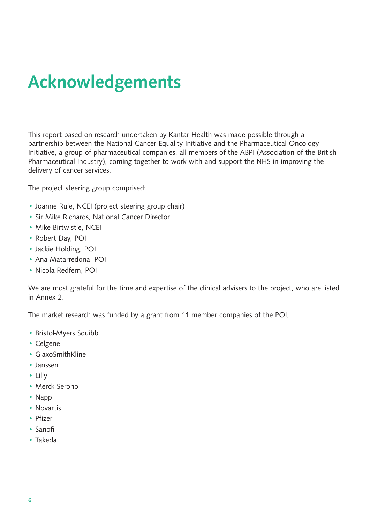# Acknowledgements

This report based on research undertaken by Kantar Health was made possible through a partnership between the National Cancer Equality Initiative and the Pharmaceutical Oncology Initiative, a group of pharmaceutical companies, all members of the ABPI (Association of the British Pharmaceutical Industry), coming together to work with and support the NHS in improving the delivery of cancer services.

The project steering group comprised:

- Joanne Rule, NCEI (project steering group chair)
- Sir Mike Richards, National Cancer Director
- Mike Birtwistle, NCEI
- Robert Day, POI
- Jackie Holding, POI
- Ana Matarredona, POI
- Nicola Redfern, POI

We are most grateful for the time and expertise of the clinical advisers to the project, who are listed in Annex 2.

The market research was funded by a grant from 11 member companies of the POI;

- Bristol-Myers Squibb
- Celgene
- GlaxoSmithKline
- Janssen
- Lilly
- Merck Serono
- Napp
- Novartis
- Pfizer
- Sanofi
- Takeda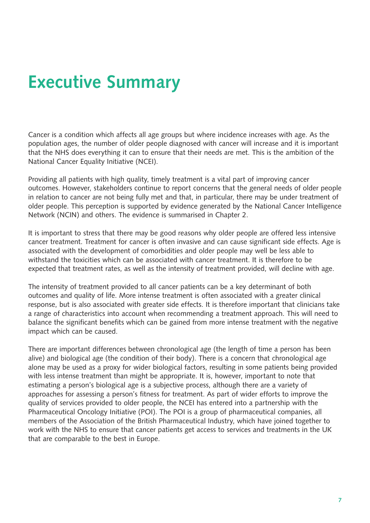# Executive Summary

Cancer is a condition which affects all age groups but where incidence increases with age. As the population ages, the number of older people diagnosed with cancer will increase and it is important that the NHS does everything it can to ensure that their needs are met. This is the ambition of the National Cancer Equality Initiative (NCEI).

Providing all patients with high quality, timely treatment is a vital part of improving cancer outcomes. However, stakeholders continue to report concerns that the general needs of older people in relation to cancer are not being fully met and that, in particular, there may be under treatment of older people. This perception is supported by evidence generated by the National Cancer Intelligence Network (NCIN) and others. The evidence is summarised in Chapter 2.

It is important to stress that there may be good reasons why older people are offered less intensive cancer treatment. Treatment for cancer is often invasive and can cause significant side effects. Age is associated with the development of comorbidities and older people may well be less able to withstand the toxicities which can be associated with cancer treatment. It is therefore to be expected that treatment rates, as well as the intensity of treatment provided, will decline with age.

The intensity of treatment provided to all cancer patients can be a key determinant of both outcomes and quality of life. More intense treatment is often associated with a greater clinical response, but is also associated with greater side effects. It is therefore important that clinicians take a range of characteristics into account when recommending a treatment approach. This will need to balance the significant benefits which can be gained from more intense treatment with the negative impact which can be caused.

There are important differences between chronological age (the length of time a person has been alive) and biological age (the condition of their body). There is a concern that chronological age alone may be used as a proxy for wider biological factors, resulting in some patients being provided with less intense treatment than might be appropriate. It is, however, important to note that estimating a person's biological age is a subjective process, although there are a variety of approaches for assessing a person's fitness for treatment. As part of wider efforts to improve the quality of services provided to older people, the NCEI has entered into a partnership with the Pharmaceutical Oncology Initiative (POI). The POI is a group of pharmaceutical companies, all members of the Association of the British Pharmaceutical Industry, which have joined together to work with the NHS to ensure that cancer patients get access to services and treatments in the UK that are comparable to the best in Europe.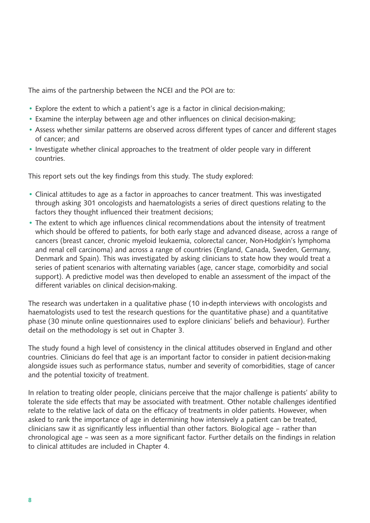The aims of the partnership between the NCEI and the POI are to:

- Explore the extent to which a patient's age is a factor in clinical decision-making;
- Examine the interplay between age and other influences on clinical decision-making;
- Assess whether similar patterns are observed across different types of cancer and different stages of cancer; and
- Investigate whether clinical approaches to the treatment of older people vary in different countries.

This report sets out the key findings from this study. The study explored:

- Clinical attitudes to age as a factor in approaches to cancer treatment. This was investigated through asking 301 oncologists and haematologists a series of direct questions relating to the factors they thought influenced their treatment decisions;
- The extent to which age influences clinical recommendations about the intensity of treatment which should be offered to patients, for both early stage and advanced disease, across a range of cancers (breast cancer, chronic myeloid leukaemia, colorectal cancer, Non-Hodgkin's lymphoma and renal cell carcinoma) and across a range of countries (England, Canada, Sweden, Germany, Denmark and Spain). This was investigated by asking clinicians to state how they would treat a series of patient scenarios with alternating variables (age, cancer stage, comorbidity and social support). A predictive model was then developed to enable an assessment of the impact of the different variables on clinical decision-making.

The research was undertaken in a qualitative phase (10 in-depth interviews with oncologists and haematologists used to test the research questions for the quantitative phase) and a quantitative phase (30 minute online questionnaires used to explore clinicians' beliefs and behaviour). Further detail on the methodology is set out in Chapter 3.

The study found a high level of consistency in the clinical attitudes observed in England and other countries. Clinicians do feel that age is an important factor to consider in patient decision-making alongside issues such as performance status, number and severity of comorbidities, stage of cancer and the potential toxicity of treatment.

In relation to treating older people, clinicians perceive that the major challenge is patients' ability to tolerate the side effects that may be associated with treatment. Other notable challenges identified relate to the relative lack of data on the efficacy of treatments in older patients. However, when asked to rank the importance of age in determining how intensively a patient can be treated, clinicians saw it as significantly less influential than other factors. Biological age – rather than chronological age – was seen as a more significant factor. Further details on the findings in relation to clinical attitudes are included in Chapter 4.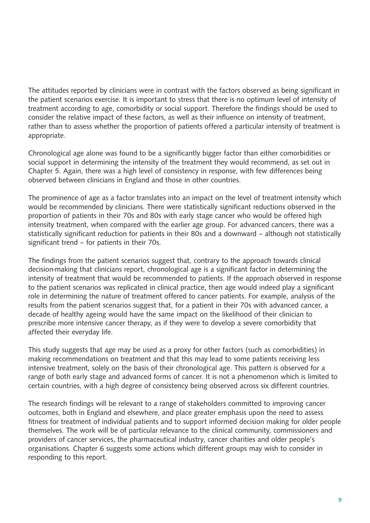The attitudes reported by clinicians were in contrast with the factors observed as being significant in the patient scenarios exercise. It is important to stress that there is no optimum level of intensity of treatment according to age, comorbidity or social support. Therefore the findings should be used to consider the relative impact of these factors, as well as their influence on intensity of treatment, rather than to assess whether the proportion of patients offered a particular intensity of treatment is appropriate.

Chronological age alone was found to be a significantly bigger factor than either comorbidities or social support in determining the intensity of the treatment they would recommend, as set out in Chapter 5. Again, there was a high level of consistency in response, with few differences being observed between clinicians in England and those in other countries.

The prominence of age as a factor translates into an impact on the level of treatment intensity which would be recommended by clinicians. There were statistically significant reductions observed in the proportion of patients in their 70s and 80s with early stage cancer who would be offered high intensity treatment, when compared with the earlier age group. For advanced cancers, there was a statistically significant reduction for patients in their 80s and a downward – although not statistically significant trend – for patients in their 70s.

The findings from the patient scenarios suggest that, contrary to the approach towards clinical decision-making that clinicians report, chronological age is a significant factor in determining the intensity of treatment that would be recommended to patients. If the approach observed in response to the patient scenarios was replicated in clinical practice, then age would indeed play a significant role in determining the nature of treatment offered to cancer patients. For example, analysis of the results from the patient scenarios suggest that, for a patient in their 70s with advanced cancer, a decade of healthy ageing would have the same impact on the likelihood of their clinician to prescribe more intensive cancer therapy, as if they were to develop a severe comorbidity that affected their everyday life.

This study suggests that age may be used as a proxy for other factors (such as comorbidities) in making recommendations on treatment and that this may lead to some patients receiving less intensive treatment, solely on the basis of their chronological age. This pattern is observed for a range of both early stage and advanced forms of cancer. It is not a phenomenon which is limited to certain countries, with a high degree of consistency being observed across six different countries.

The research findings will be relevant to a range of stakeholders committed to improving cancer outcomes, both in England and elsewhere, and place greater emphasis upon the need to assess fitness for treatment of individual patients and to support informed decision making for older people themselves. The work will be of particular relevance to the clinical community, commissioners and providers of cancer services, the pharmaceutical industry, cancer charities and older people's organisations. Chapter 6 suggests some actions which different groups may wish to consider in responding to this report.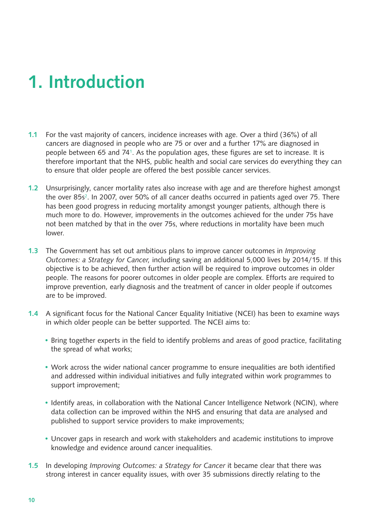# 1. Introduction

- 1.1 For the vast majority of cancers, incidence increases with age. Over a third (36%) of all cancers are diagnosed in people who are 75 or over and a further 17% are diagnosed in people between 65 and 741. As the population ages, these figures are set to increase. It is therefore important that the NHS, public health and social care services do everything they can to ensure that older people are offered the best possible cancer services.
- 1.2 Unsurprisingly, cancer mortality rates also increase with age and are therefore highest amongst the over 85s<sup>2</sup>. In 2007, over 50% of all cancer deaths occurred in patients aged over 75. There has been good progress in reducing mortality amongst younger patients, although there is much more to do. However, improvements in the outcomes achieved for the under 75s have not been matched by that in the over 75s, where reductions in mortality have been much lower.
- 1.3 The Government has set out ambitious plans to improve cancer outcomes in *Improving Outcomes: a Strategy for Cancer,* including saving an additional 5,000 lives by 2014/15. If this objective is to be achieved, then further action will be required to improve outcomes in older people. The reasons for poorer outcomes in older people are complex. Efforts are required to improve prevention, early diagnosis and the treatment of cancer in older people if outcomes are to be improved.
- 1.4 A significant focus for the National Cancer Equality Initiative (NCEI) has been to examine ways in which older people can be better supported. The NCEI aims to:
	- Bring together experts in the field to identify problems and areas of good practice, facilitating the spread of what works;
	- Work across the wider national cancer programme to ensure inequalities are both identified and addressed within individual initiatives and fully integrated within work programmes to support improvement;
	- Identify areas, in collaboration with the National Cancer Intelligence Network (NCIN), where data collection can be improved within the NHS and ensuring that data are analysed and published to support service providers to make improvements;
	- Uncover gaps in research and work with stakeholders and academic institutions to improve knowledge and evidence around cancer inequalities.
- 1.5 In developing *Improving Outcomes: a Strategy for Cancer* it became clear that there was strong interest in cancer equality issues, with over 35 submissions directly relating to the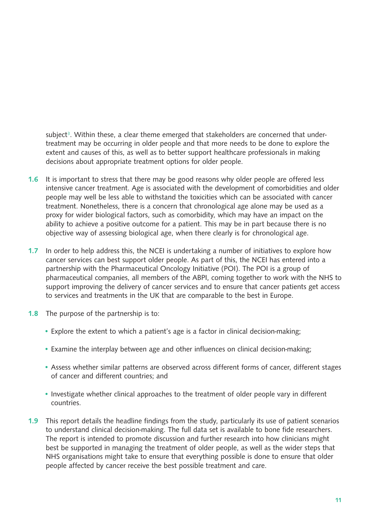subject<sup>3</sup>. Within these, a clear theme emerged that stakeholders are concerned that undertreatment may be occurring in older people and that more needs to be done to explore the extent and causes of this, as well as to better support healthcare professionals in making decisions about appropriate treatment options for older people.

- **1.6** It is important to stress that there may be good reasons why older people are offered less intensive cancer treatment. Age is associated with the development of comorbidities and older people may well be less able to withstand the toxicities which can be associated with cancer treatment. Nonetheless, there is a concern that chronological age alone may be used as a proxy for wider biological factors, such as comorbidity, which may have an impact on the ability to achieve a positive outcome for a patient. This may be in part because there is no objective way of assessing biological age, when there clearly is for chronological age.
- 1.7 In order to help address this, the NCEI is undertaking a number of initiatives to explore how cancer services can best support older people. As part of this, the NCEI has entered into a partnership with the Pharmaceutical Oncology Initiative (POI). The POI is a group of pharmaceutical companies, all members of the ABPI, coming together to work with the NHS to support improving the delivery of cancer services and to ensure that cancer patients get access to services and treatments in the UK that are comparable to the best in Europe.
- 1.8 The purpose of the partnership is to:
	- Explore the extent to which a patient's age is a factor in clinical decision-making;
	- Examine the interplay between age and other influences on clinical decision-making;
	- Assess whether similar patterns are observed across different forms of cancer, different stages of cancer and different countries; and
	- Investigate whether clinical approaches to the treatment of older people vary in different countries.
- 1.9 This report details the headline findings from the study, particularly its use of patient scenarios to understand clinical decision-making. The full data set is available to bone fide researchers. The report is intended to promote discussion and further research into how clinicians might best be supported in managing the treatment of older people, as well as the wider steps that NHS organisations might take to ensure that everything possible is done to ensure that older people affected by cancer receive the best possible treatment and care.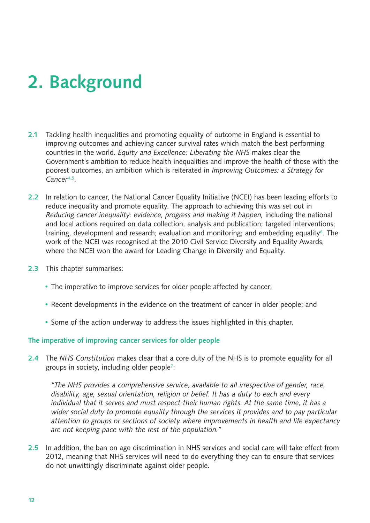# 2. Background

- 2.1 Tackling health inequalities and promoting equality of outcome in England is essential to improving outcomes and achieving cancer survival rates which match the best performing countries in the world. *Equity and Excellence: Liberating the NHS* makes clear the Government's ambition to reduce health inequalities and improve the health of those with the poorest outcomes, an ambition which is reiterated in *Improving Outcomes: a Strategy for Cancer*4,5.
- 2.2 In relation to cancer, the National Cancer Equality Initiative (NCEI) has been leading efforts to reduce inequality and promote equality. The approach to achieving this was set out in *Reducing cancer inequality: evidence, progress and making it happen,* including the national and local actions required on data collection, analysis and publication; targeted interventions; training, development and research; evaluation and monitoring; and embedding equality<sup>6</sup>. The work of the NCEI was recognised at the 2010 Civil Service Diversity and Equality Awards, where the NCEI won the award for Leading Change in Diversity and Equality.
- 2.3 This chapter summarises:
	- The imperative to improve services for older people affected by cancer;
	- Recent developments in the evidence on the treatment of cancer in older people; and
	- Some of the action underway to address the issues highlighted in this chapter.

#### The imperative of improving cancer services for older people

2.4 The *NHS Constitution* makes clear that a core duty of the NHS is to promote equality for all groups in society, including older people7:

*"The NHS provides a comprehensive service, available to all irrespective of gender, race, disability, age, sexual orientation, religion or belief. It has a duty to each and every individual that it serves and must respect their human rights. At the same time, it has a wider social duty to promote equality through the services it provides and to pay particular attention to groups or sections of society where improvements in health and life expectancy are not keeping pace with the rest of the population."*

2.5 In addition, the ban on age discrimination in NHS services and social care will take effect from 2012, meaning that NHS services will need to do everything they can to ensure that services do not unwittingly discriminate against older people.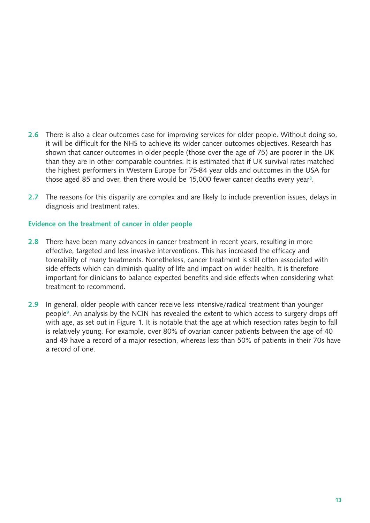- 2.6 There is also a clear outcomes case for improving services for older people. Without doing so, it will be difficult for the NHS to achieve its wider cancer outcomes objectives. Research has shown that cancer outcomes in older people (those over the age of 75) are poorer in the UK than they are in other comparable countries. It is estimated that if UK survival rates matched the highest performers in Western Europe for 75-84 year olds and outcomes in the USA for those aged 85 and over, then there would be 15,000 fewer cancer deaths every year<sup>8</sup>.
- 2.7 The reasons for this disparity are complex and are likely to include prevention issues, delays in diagnosis and treatment rates.

#### Evidence on the treatment of cancer in older people

- 2.8 There have been many advances in cancer treatment in recent years, resulting in more effective, targeted and less invasive interventions. This has increased the efficacy and tolerability of many treatments. Nonetheless, cancer treatment is still often associated with side effects which can diminish quality of life and impact on wider health. It is therefore important for clinicians to balance expected benefits and side effects when considering what treatment to recommend.
- 2.9 In general, older people with cancer receive less intensive/radical treatment than younger people9. An analysis by the NCIN has revealed the extent to which access to surgery drops off with age, as set out in Figure 1. It is notable that the age at which resection rates begin to fall is relatively young. For example, over 80% of ovarian cancer patients between the age of 40 and 49 have a record of a major resection, whereas less than 50% of patients in their 70s have a record of one.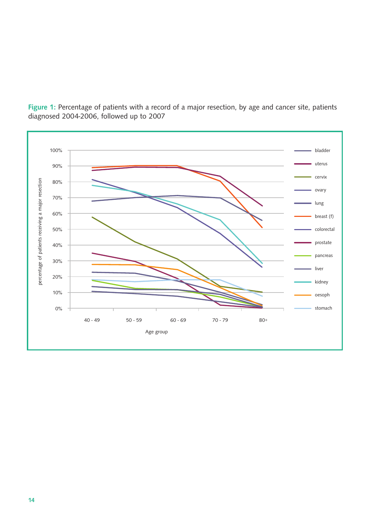

Figure 1: Percentage of patients with a record of a major resection, by age and cancer site, patients diagnosed 2004-2006, followed up to 2007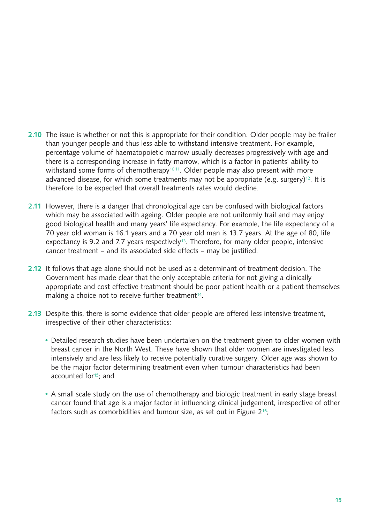- 2.10 The issue is whether or not this is appropriate for their condition. Older people may be frailer than younger people and thus less able to withstand intensive treatment. For example, percentage volume of haematopoietic marrow usually decreases progressively with age and there is a corresponding increase in fatty marrow, which is a factor in patients' ability to withstand some forms of chemotherapy<sup>10,11</sup>. Older people may also present with more advanced disease, for which some treatments may not be appropriate (e.g. surgery)<sup>12</sup>. It is therefore to be expected that overall treatments rates would decline.
- 2.11 However, there is a danger that chronological age can be confused with biological factors which may be associated with ageing. Older people are not uniformly frail and may enjoy good biological health and many years' life expectancy. For example, the life expectancy of a 70 year old woman is 16.1 years and a 70 year old man is 13.7 years. At the age of 80, life expectancy is 9.2 and 7.7 years respectively<sup>13</sup>. Therefore, for many older people, intensive cancer treatment – and its associated side effects – may be justified.
- 2.12 It follows that age alone should not be used as a determinant of treatment decision. The Government has made clear that the only acceptable criteria for not giving a clinically appropriate and cost effective treatment should be poor patient health or a patient themselves making a choice not to receive further treatment<sup>14</sup>.
- 2.13 Despite this, there is some evidence that older people are offered less intensive treatment, irrespective of their other characteristics:
	- Detailed research studies have been undertaken on the treatment given to older women with breast cancer in the North West. These have shown that older women are investigated less intensively and are less likely to receive potentially curative surgery. Older age was shown to be the major factor determining treatment even when tumour characteristics had been accounted for<sup>15</sup>; and
	- A small scale study on the use of chemotherapy and biologic treatment in early stage breast cancer found that age is a major factor in influencing clinical judgement, irrespective of other factors such as comorbidities and tumour size, as set out in Figure 2<sup>16</sup>;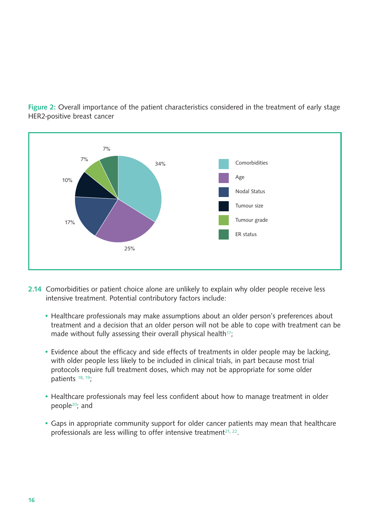

Figure 2: Overall importance of the patient characteristics considered in the treatment of early stage HER2-positive breast cancer

- 2.14 Comorbidities or patient choice alone are unlikely to explain why older people receive less intensive treatment. Potential contributory factors include:
	- Healthcare professionals may make assumptions about an older person's preferences about treatment and a decision that an older person will not be able to cope with treatment can be made without fully assessing their overall physical health<sup>17</sup>;
	- Evidence about the efficacy and side effects of treatments in older people may be lacking, with older people less likely to be included in clinical trials, in part because most trial protocols require full treatment doses, which may not be appropriate for some older patients 18, 19
	- Healthcare professionals may feel less confident about how to manage treatment in older people20; and
	- Gaps in appropriate community support for older cancer patients may mean that healthcare professionals are less willing to offer intensive treatment<sup>21, 22</sup>.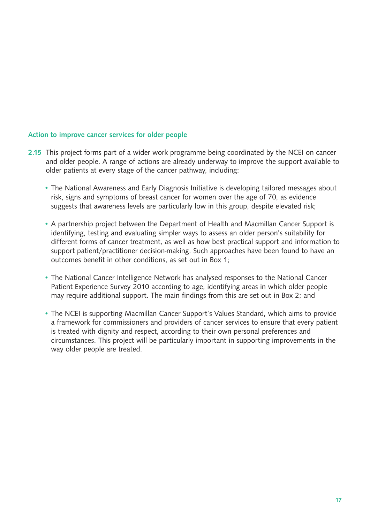#### Action to improve cancer services for older people

- 2.15 This project forms part of a wider work programme being coordinated by the NCEI on cancer and older people. A range of actions are already underway to improve the support available to older patients at every stage of the cancer pathway, including:
	- The National Awareness and Early Diagnosis Initiative is developing tailored messages about risk, signs and symptoms of breast cancer for women over the age of 70, as evidence suggests that awareness levels are particularly low in this group, despite elevated risk;
	- A partnership project between the Department of Health and Macmillan Cancer Support is identifying, testing and evaluating simpler ways to assess an older person's suitability for different forms of cancer treatment, as well as how best practical support and information to support patient/practitioner decision-making. Such approaches have been found to have an outcomes benefit in other conditions, as set out in Box 1;
	- The National Cancer Intelligence Network has analysed responses to the National Cancer Patient Experience Survey 2010 according to age, identifying areas in which older people may require additional support. The main findings from this are set out in Box 2; and
	- The NCEI is supporting Macmillan Cancer Support's Values Standard, which aims to provide a framework for commissioners and providers of cancer services to ensure that every patient is treated with dignity and respect, according to their own personal preferences and circumstances. This project will be particularly important in supporting improvements in the way older people are treated.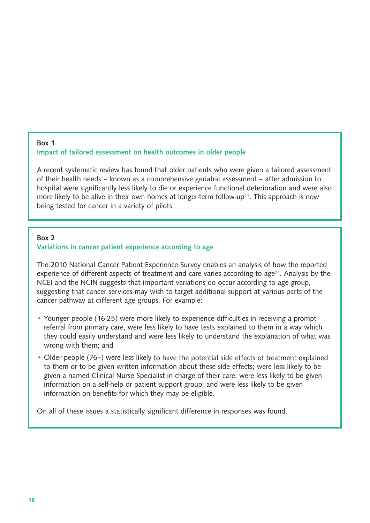#### Box 1 Impact of tailored assessment on health outcomes in older people

A recent systematic review has found that older patients who were given a tailored assessment of their health needs – known as a comprehensive geriatric assessment – after admission to hospital were significantly less likely to die or experience functional deterioration and were also more likely to be alive in their own homes at longer-term follow-up<sup>23</sup>. This approach is now being tested for cancer in a variety of pilots.

#### Box 2

#### Variations in cancer patient experience according to age

The 2010 National Cancer Patient Experience Survey enables an analysis of how the reported experience of different aspects of treatment and care varies according to age $24$ . Analysis by the NCEI and the NCIN suggests that important variations do occur according to age group, suggesting that cancer services may wish to target additional support at various parts of the cancer pathway at different age groups. For example:

- Younger people (16-25) were more likely to experience difficulties in receiving a prompt referral from primary care, were less likely to have tests explained to them in a way which they could easily understand and were less likely to understand the explanation of what was wrong with them; and
- Older people (76+) were less likely to have the potential side effects of treatment explained to them or to be given written information about these side effects; were less likely to be given a named Clinical Nurse Specialist in charge of their care; were less likely to be given information on a self-help or patient support group; and were less likely to be given information on benefits for which they may be eligible.

On all of these issues a statistically significant difference in responses was found.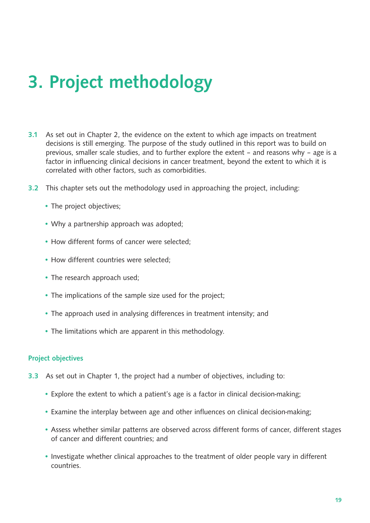# 3. Project methodology

- **3.1** As set out in Chapter 2, the evidence on the extent to which age impacts on treatment decisions is still emerging. The purpose of the study outlined in this report was to build on previous, smaller scale studies, and to further explore the extent – and reasons why – age is a factor in influencing clinical decisions in cancer treatment, beyond the extent to which it is correlated with other factors, such as comorbidities.
- 3.2 This chapter sets out the methodology used in approaching the project, including:
	- The project objectives;
	- Why a partnership approach was adopted;
	- How different forms of cancer were selected;
	- How different countries were selected;
	- The research approach used;
	- The implications of the sample size used for the project;
	- The approach used in analysing differences in treatment intensity; and
	- The limitations which are apparent in this methodology.

#### Project objectives

- 3.3 As set out in Chapter 1, the project had a number of objectives, including to:
	- Explore the extent to which a patient's age is a factor in clinical decision-making;
	- Examine the interplay between age and other influences on clinical decision-making;
	- Assess whether similar patterns are observed across different forms of cancer, different stages of cancer and different countries; and
	- Investigate whether clinical approaches to the treatment of older people vary in different countries.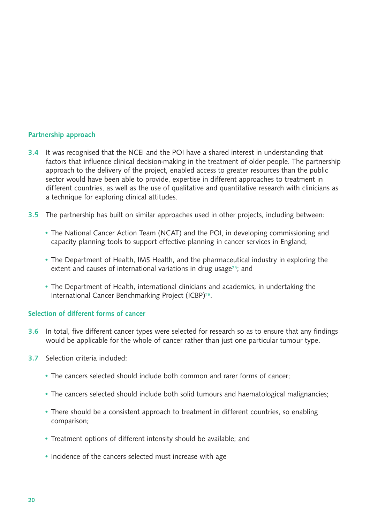#### Partnership approach

- 3.4 It was recognised that the NCEI and the POI have a shared interest in understanding that factors that influence clinical decision-making in the treatment of older people. The partnership approach to the delivery of the project, enabled access to greater resources than the public sector would have been able to provide, expertise in different approaches to treatment in different countries, as well as the use of qualitative and quantitative research with clinicians as a technique for exploring clinical attitudes.
- 3.5 The partnership has built on similar approaches used in other projects, including between:
	- The National Cancer Action Team (NCAT) and the POI, in developing commissioning and capacity planning tools to support effective planning in cancer services in England;
	- The Department of Health, IMS Health, and the pharmaceutical industry in exploring the extent and causes of international variations in drug usage<sup>25</sup>; and
	- The Department of Health, international clinicians and academics, in undertaking the International Cancer Benchmarking Project (ICBP)26.

#### Selection of different forms of cancer

- **3.6** In total, five different cancer types were selected for research so as to ensure that any findings would be applicable for the whole of cancer rather than just one particular tumour type.
- 3.7 Selection criteria included:
	- The cancers selected should include both common and rarer forms of cancer;
	- The cancers selected should include both solid tumours and haematological malignancies;
	- There should be a consistent approach to treatment in different countries, so enabling comparison;
	- Treatment options of different intensity should be available; and
	- Incidence of the cancers selected must increase with age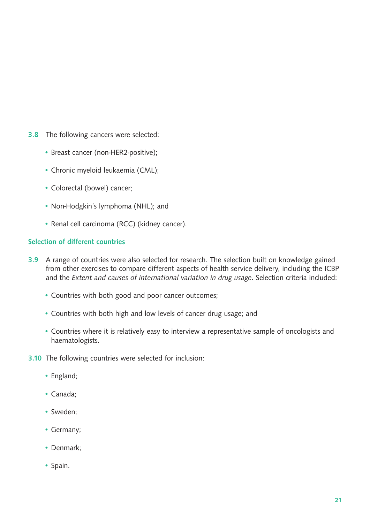- 3.8 The following cancers were selected:
	- Breast cancer (non-HER2-positive);
	- Chronic myeloid leukaemia (CML);
	- Colorectal (bowel) cancer;
	- Non-Hodgkin's lymphoma (NHL); and
	- Renal cell carcinoma (RCC) (kidney cancer).

#### Selection of different countries

- **3.9** A range of countries were also selected for research. The selection built on knowledge gained from other exercises to compare different aspects of health service delivery, including the ICBP and the *Extent and causes of international variation in drug usage*. Selection criteria included:
	- Countries with both good and poor cancer outcomes;
	- Countries with both high and low levels of cancer drug usage; and
	- Countries where it is relatively easy to interview a representative sample of oncologists and haematologists.
- 3.10 The following countries were selected for inclusion:
	- England;
	- Canada;
	- Sweden;
	- Germany;
	- Denmark;
	- Spain.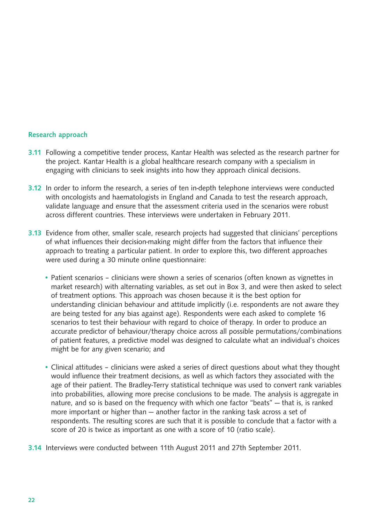#### Research approach

- 3.11 Following a competitive tender process, Kantar Health was selected as the research partner for the project. Kantar Health is a global healthcare research company with a specialism in engaging with clinicians to seek insights into how they approach clinical decisions.
- 3.12 In order to inform the research, a series of ten in-depth telephone interviews were conducted with oncologists and haematologists in England and Canada to test the research approach, validate language and ensure that the assessment criteria used in the scenarios were robust across different countries. These interviews were undertaken in February 2011.
- 3.13 Evidence from other, smaller scale, research projects had suggested that clinicians' perceptions of what influences their decision-making might differ from the factors that influence their approach to treating a particular patient. In order to explore this, two different approaches were used during a 30 minute online questionnaire:
	- Patient scenarios clinicians were shown a series of scenarios (often known as vignettes in market research) with alternating variables, as set out in Box 3, and were then asked to select of treatment options. This approach was chosen because it is the best option for understanding clinician behaviour and attitude implicitly (i.e. respondents are not aware they are being tested for any bias against age). Respondents were each asked to complete 16 scenarios to test their behaviour with regard to choice of therapy. In order to produce an accurate predictor of behaviour/therapy choice across all possible permutations/combinations of patient features, a predictive model was designed to calculate what an individual's choices might be for any given scenario; and
	- Clinical attitudes clinicians were asked a series of direct questions about what they thought would influence their treatment decisions, as well as which factors they associated with the age of their patient. The Bradley-Terry statistical technique was used to convert rank variables into probabilities, allowing more precise conclusions to be made. The analysis is aggregate in nature, and so is based on the frequency with which one factor "beats" — that is, is ranked more important or higher than — another factor in the ranking task across a set of respondents. The resulting scores are such that it is possible to conclude that a factor with a score of 20 is twice as important as one with a score of 10 (ratio scale).
- **3.14** Interviews were conducted between 11th August 2011 and 27th September 2011.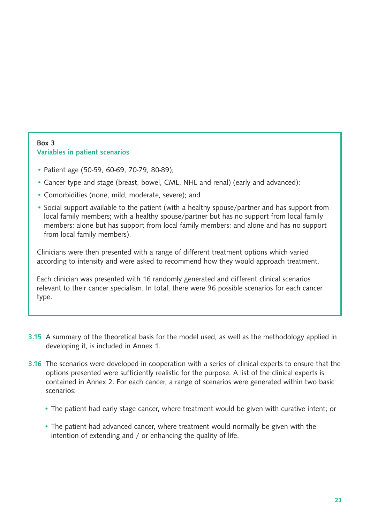#### Box 3 Variables in patient scenarios

- Patient age (50-59, 60-69, 70-79, 80-89);
- Cancer type and stage (breast, bowel, CML, NHL and renal) (early and advanced);
- Comorbidities (none, mild, moderate, severe); and
- Social support available to the patient (with a healthy spouse/partner and has support from local family members; with a healthy spouse/partner but has no support from local family members; alone but has support from local family members; and alone and has no support from local family members).

Clinicians were then presented with a range of different treatment options which varied according to intensity and were asked to recommend how they would approach treatment.

Each clinician was presented with 16 randomly generated and different clinical scenarios relevant to their cancer specialism. In total, there were 96 possible scenarios for each cancer type.

- **3.15** A summary of the theoretical basis for the model used, as well as the methodology applied in developing it, is included in Annex 1.
- **3.16** The scenarios were developed in cooperation with a series of clinical experts to ensure that the options presented were sufficiently realistic for the purpose. A list of the clinical experts is contained in Annex 2. For each cancer, a range of scenarios were generated within two basic scenarios:
	- The patient had early stage cancer, where treatment would be given with curative intent; or
	- The patient had advanced cancer, where treatment would normally be given with the intention of extending and / or enhancing the quality of life.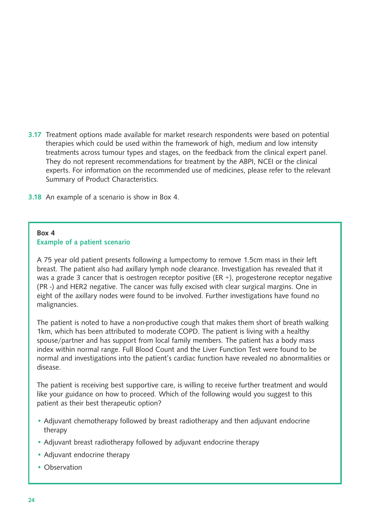- 3.17 Treatment options made available for market research respondents were based on potential therapies which could be used within the framework of high, medium and low intensity treatments across tumour types and stages, on the feedback from the clinical expert panel. They do not represent recommendations for treatment by the ABPI, NCEI or the clinical experts. For information on the recommended use of medicines, please refer to the relevant Summary of Product Characteristics.
- 3.18 An example of a scenario is show in Box 4.

#### Box 4 Example of a patient scenario

A 75 year old patient presents following a lumpectomy to remove 1.5cm mass in their left breast. The patient also had axillary lymph node clearance. Investigation has revealed that it was a grade 3 cancer that is oestrogen receptor positive (ER +), progesterone receptor negative (PR -) and HER2 negative. The cancer was fully excised with clear surgical margins. One in eight of the axillary nodes were found to be involved. Further investigations have found no malignancies.

The patient is noted to have a non-productive cough that makes them short of breath walking 1km, which has been attributed to moderate COPD. The patient is living with a healthy spouse/partner and has support from local family members. The patient has a body mass index within normal range. Full Blood Count and the Liver Function Test were found to be normal and investigations into the patient's cardiac function have revealed no abnormalities or disease.

The patient is receiving best supportive care, is willing to receive further treatment and would like your guidance on how to proceed. Which of the following would you suggest to this patient as their best therapeutic option?

- Adjuvant chemotherapy followed by breast radiotherapy and then adjuvant endocrine therapy
- Adjuvant breast radiotherapy followed by adjuvant endocrine therapy
- Adjuvant endocrine therapy
- Observation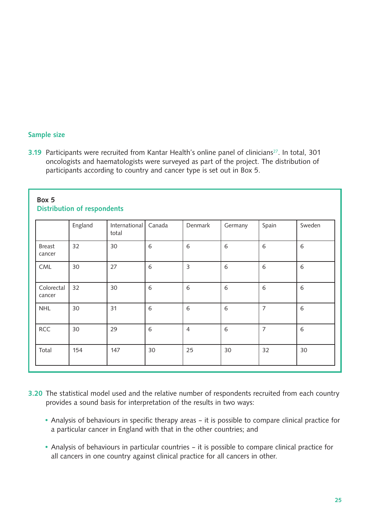#### Sample size

3.19 Participants were recruited from Kantar Health's online panel of clinicians<sup>27</sup>. In total, 301 oncologists and haematologists were surveyed as part of the project. The distribution of participants according to country and cancer type is set out in Box 5.

|                         | England | International<br>total | Canada | Denmark        | Germany | Spain          | Sweden |
|-------------------------|---------|------------------------|--------|----------------|---------|----------------|--------|
| <b>Breast</b><br>cancer | 32      | 30                     | 6      | 6              | 6       | 6              | 6      |
| CML                     | 30      | 27                     | 6      | $\mathsf 3$    | 6       | 6              | 6      |
| Colorectal<br>cancer    | 32      | 30                     | 6      | 6              | 6       | 6              | 6      |
| <b>NHL</b>              | 30      | 31                     | 6      | 6              | 6       | $\overline{7}$ | 6      |
| <b>RCC</b>              | 30      | 29                     | 6      | $\overline{4}$ | 6       | $\overline{7}$ | 6      |
| Total                   | 154     | 147                    | 30     | 25             | 30      | 32             | 30     |

#### Box 5 Distribution of respondents

- 3.20 The statistical model used and the relative number of respondents recruited from each country provides a sound basis for interpretation of the results in two ways:
	- Analysis of behaviours in specific therapy areas it is possible to compare clinical practice for a particular cancer in England with that in the other countries; and
	- Analysis of behaviours in particular countries it is possible to compare clinical practice for all cancers in one country against clinical practice for all cancers in other.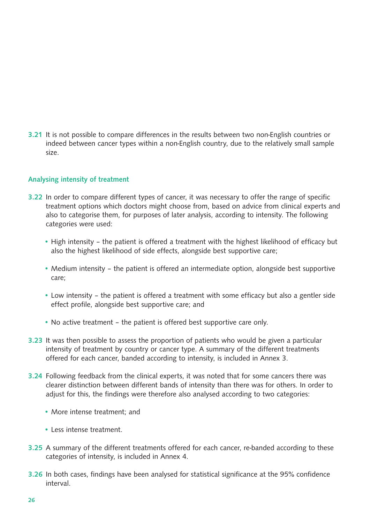**3.21** It is not possible to compare differences in the results between two non-English countries or indeed between cancer types within a non-English country, due to the relatively small sample size.

#### Analysing intensity of treatment

- **3.22** In order to compare different types of cancer, it was necessary to offer the range of specific treatment options which doctors might choose from, based on advice from clinical experts and also to categorise them, for purposes of later analysis, according to intensity. The following categories were used:
	- High intensity the patient is offered a treatment with the highest likelihood of efficacy but also the highest likelihood of side effects, alongside best supportive care;
	- Medium intensity the patient is offered an intermediate option, alongside best supportive care;
	- Low intensity the patient is offered a treatment with some efficacy but also a gentler side effect profile, alongside best supportive care; and
	- No active treatment the patient is offered best supportive care only.
- **3.23** It was then possible to assess the proportion of patients who would be given a particular intensity of treatment by country or cancer type. A summary of the different treatments offered for each cancer, banded according to intensity, is included in Annex 3.
- 3.24 Following feedback from the clinical experts, it was noted that for some cancers there was clearer distinction between different bands of intensity than there was for others. In order to adjust for this, the findings were therefore also analysed according to two categories:
	- More intense treatment; and
	- Less intense treatment.
- 3.25 A summary of the different treatments offered for each cancer, re-banded according to these categories of intensity, is included in Annex 4.
- **3.26** In both cases, findings have been analysed for statistical significance at the 95% confidence interval.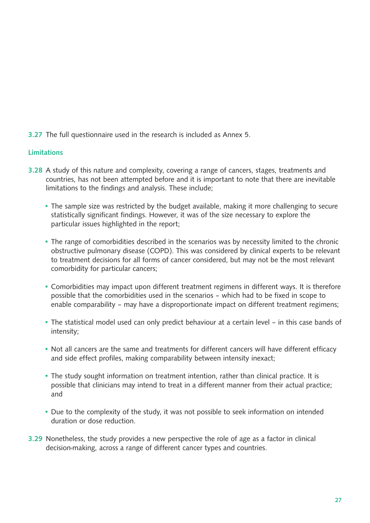3.27 The full questionnaire used in the research is included as Annex 5.

### **Limitations**

- 3.28 A study of this nature and complexity, covering a range of cancers, stages, treatments and countries, has not been attempted before and it is important to note that there are inevitable limitations to the findings and analysis. These include;
	- The sample size was restricted by the budget available, making it more challenging to secure statistically significant findings. However, it was of the size necessary to explore the particular issues highlighted in the report;
	- The range of comorbidities described in the scenarios was by necessity limited to the chronic obstructive pulmonary disease (COPD). This was considered by clinical experts to be relevant to treatment decisions for all forms of cancer considered, but may not be the most relevant comorbidity for particular cancers;
	- Comorbidities may impact upon different treatment regimens in different ways. It is therefore possible that the comorbidities used in the scenarios – which had to be fixed in scope to enable comparability – may have a disproportionate impact on different treatment regimens;
	- The statistical model used can only predict behaviour at a certain level in this case bands of intensity;
	- Not all cancers are the same and treatments for different cancers will have different efficacy and side effect profiles, making comparability between intensity inexact;
	- The study sought information on treatment intention, rather than clinical practice. It is possible that clinicians may intend to treat in a different manner from their actual practice; and
	- Due to the complexity of the study, it was not possible to seek information on intended duration or dose reduction.
- **3.29** Nonetheless, the study provides a new perspective the role of age as a factor in clinical decision-making, across a range of different cancer types and countries.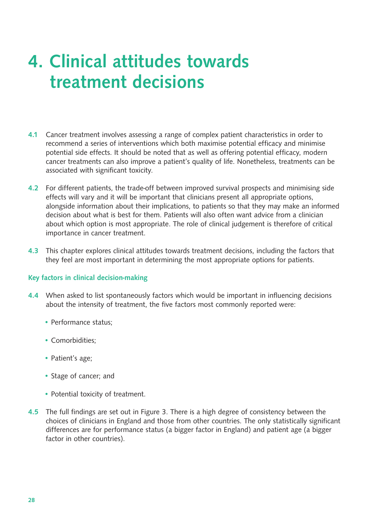# 4. Clinical attitudes towards treatment decisions

- 4.1 Cancer treatment involves assessing a range of complex patient characteristics in order to recommend a series of interventions which both maximise potential efficacy and minimise potential side effects. It should be noted that as well as offering potential efficacy, modern cancer treatments can also improve a patient's quality of life. Nonetheless, treatments can be associated with significant toxicity.
- 4.2 For different patients, the trade-off between improved survival prospects and minimising side effects will vary and it will be important that clinicians present all appropriate options, alongside information about their implications, to patients so that they may make an informed decision about what is best for them. Patients will also often want advice from a clinician about which option is most appropriate. The role of clinical judgement is therefore of critical importance in cancer treatment.
- 4.3 This chapter explores clinical attitudes towards treatment decisions, including the factors that they feel are most important in determining the most appropriate options for patients.

#### Key factors in clinical decision-making

- 4.4 When asked to list spontaneously factors which would be important in influencing decisions about the intensity of treatment, the five factors most commonly reported were:
	- Performance status;
	- Comorbidities;
	- Patient's age;
	- Stage of cancer; and
	- Potential toxicity of treatment.
- **4.5** The full findings are set out in Figure 3. There is a high degree of consistency between the choices of clinicians in England and those from other countries. The only statistically significant differences are for performance status (a bigger factor in England) and patient age (a bigger factor in other countries).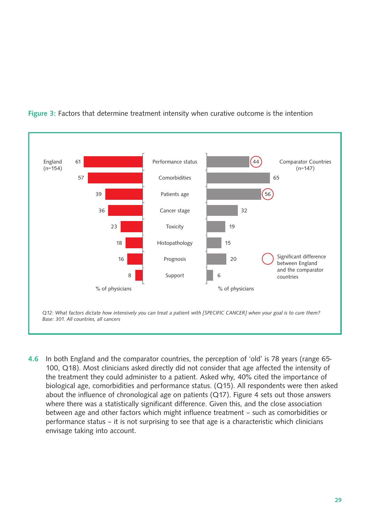

Figure 3: Factors that determine treatment intensity when curative outcome is the intention

4.6 In both England and the comparator countries, the perception of 'old' is 78 years (range 65- 100, Q18). Most clinicians asked directly did not consider that age affected the intensity of the treatment they could administer to a patient. Asked why, 40% cited the importance of biological age, comorbidities and performance status. (Q15). All respondents were then asked about the influence of chronological age on patients (Q17). Figure 4 sets out those answers where there was a statistically significant difference. Given this, and the close association between age and other factors which might influence treatment – such as comorbidities or performance status – it is not surprising to see that age is a characteristic which clinicians envisage taking into account.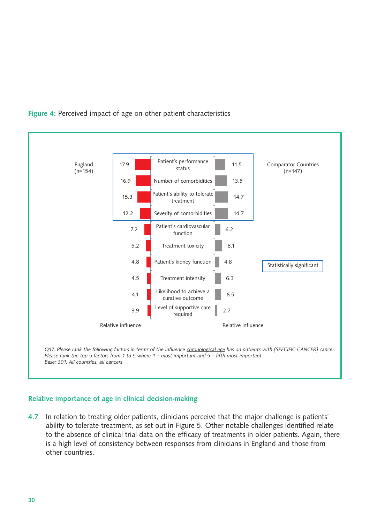

### Figure 4: Perceived impact of age on other patient characteristics

#### Relative importance of age in clinical decision-making

4.7 In relation to treating older patients, clinicians perceive that the major challenge is patients' ability to tolerate treatment, as set out in Figure 5. Other notable challenges identified relate to the absence of clinical trial data on the efficacy of treatments in older patients. Again, there is a high level of consistency between responses from clinicians in England and those from other countries.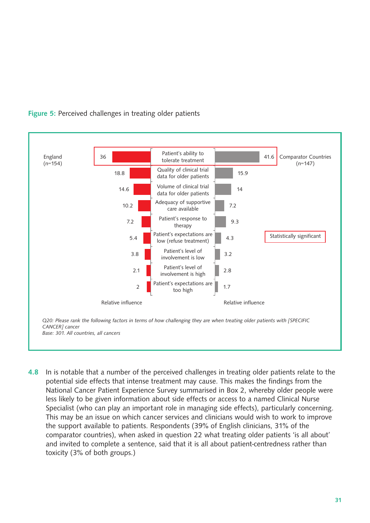

Figure 5: Perceived challenges in treating older patients

4.8 In is notable that a number of the perceived challenges in treating older patients relate to the potential side effects that intense treatment may cause. This makes the findings from the National Cancer Patient Experience Survey summarised in Box 2, whereby older people were less likely to be given information about side effects or access to a named Clinical Nurse Specialist (who can play an important role in managing side effects), particularly concerning. This may be an issue on which cancer services and clinicians would wish to work to improve the support available to patients. Respondents (39% of English clinicians, 31% of the comparator countries), when asked in question 22 what treating older patients 'is all about' and invited to complete a sentence, said that it is all about patient-centredness rather than toxicity (3% of both groups.)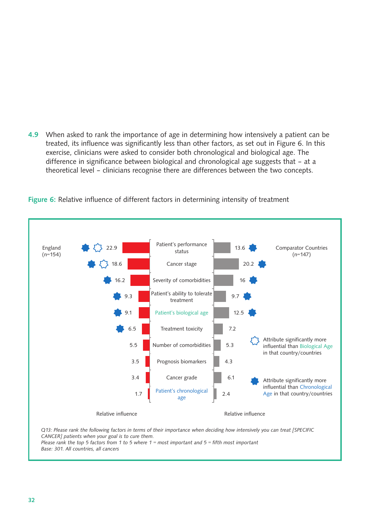4.9 When asked to rank the importance of age in determining how intensively a patient can be treated, its influence was significantly less than other factors, as set out in Figure 6. In this exercise, clinicians were asked to consider both chronological and biological age. The difference in significance between biological and chronological age suggests that – at a theoretical level – clinicians recognise there are differences between the two concepts.



Figure 6: Relative influence of different factors in determining intensity of treatment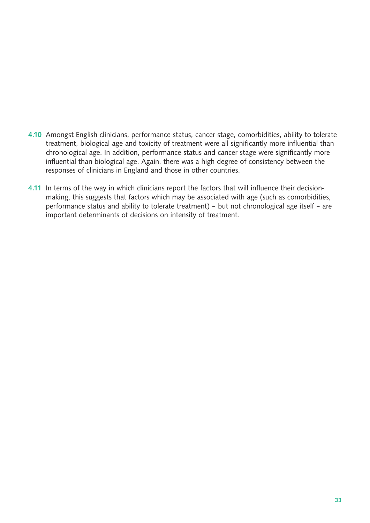- 4.10 Amongst English clinicians, performance status, cancer stage, comorbidities, ability to tolerate treatment, biological age and toxicity of treatment were all significantly more influential than chronological age. In addition, performance status and cancer stage were significantly more influential than biological age. Again, there was a high degree of consistency between the responses of clinicians in England and those in other countries.
- 4.11 In terms of the way in which clinicians report the factors that will influence their decisionmaking, this suggests that factors which may be associated with age (such as comorbidities, performance status and ability to tolerate treatment) – but not chronological age itself – are important determinants of decisions on intensity of treatment.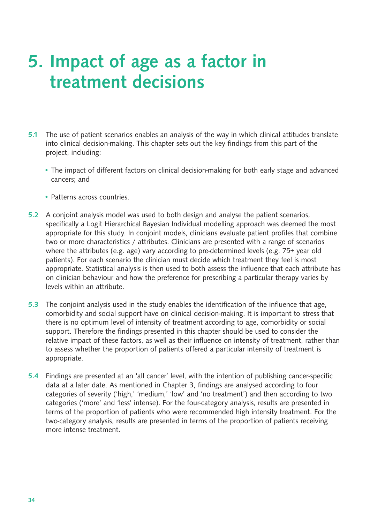# 5. Impact of age as a factor in treatment decisions

- 5.1 The use of patient scenarios enables an analysis of the way in which clinical attitudes translate into clinical decision-making. This chapter sets out the key findings from this part of the project, including:
	- The impact of different factors on clinical decision-making for both early stage and advanced cancers; and
	- Patterns across countries.
- 5.2 A conjoint analysis model was used to both design and analyse the patient scenarios, specifically a Logit Hierarchical Bayesian Individual modelling approach was deemed the most appropriate for this study. In conjoint models, clinicians evaluate patient profiles that combine two or more characteristics / attributes. Clinicians are presented with a range of scenarios where the attributes (e.g. age) vary according to pre-determined levels (e.g. 75+ year old patients). For each scenario the clinician must decide which treatment they feel is most appropriate. Statistical analysis is then used to both assess the influence that each attribute has on clinician behaviour and how the preference for prescribing a particular therapy varies by levels within an attribute.
- 5.3 The conjoint analysis used in the study enables the identification of the influence that age, comorbidity and social support have on clinical decision-making. It is important to stress that there is no optimum level of intensity of treatment according to age, comorbidity or social support. Therefore the findings presented in this chapter should be used to consider the relative impact of these factors, as well as their influence on intensity of treatment, rather than to assess whether the proportion of patients offered a particular intensity of treatment is appropriate.
- 5.4 Findings are presented at an 'all cancer' level, with the intention of publishing cancer-specific data at a later date. As mentioned in Chapter 3, findings are analysed according to four categories of severity ('high,' 'medium,' 'low' and 'no treatment') and then according to two categories ('more' and 'less' intense). For the four-category analysis, results are presented in terms of the proportion of patients who were recommended high intensity treatment. For the two-category analysis, results are presented in terms of the proportion of patients receiving more intense treatment.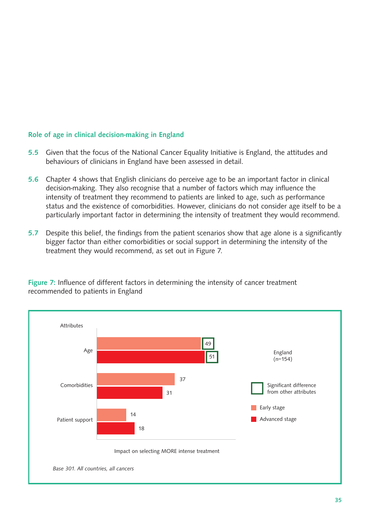#### Role of age in clinical decision-making in England

- 5.5 Given that the focus of the National Cancer Equality Initiative is England, the attitudes and behaviours of clinicians in England have been assessed in detail.
- 5.6 Chapter 4 shows that English clinicians do perceive age to be an important factor in clinical decision-making. They also recognise that a number of factors which may influence the intensity of treatment they recommend to patients are linked to age, such as performance status and the existence of comorbidities. However, clinicians do not consider age itself to be a particularly important factor in determining the intensity of treatment they would recommend.
- 5.7 Despite this belief, the findings from the patient scenarios show that age alone is a significantly bigger factor than either comorbidities or social support in determining the intensity of the treatment they would recommend, as set out in Figure 7.



Figure 7: Influence of different factors in determining the intensity of cancer treatment recommended to patients in England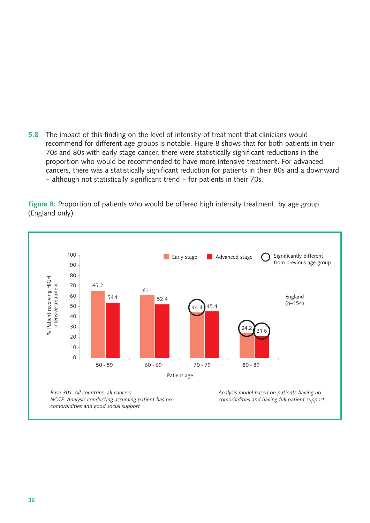5.8 The impact of this finding on the level of intensity of treatment that clinicians would recommend for different age groups is notable. Figure 8 shows that for both patients in their 70s and 80s with early stage cancer, there were statistically significant reductions in the proportion who would be recommended to have more intensive treatment. For advanced cancers, there was a statistically significant reduction for patients in their 80s and a downward – although not statistically significant trend – for patients in their 70s.

Figure 8: Proportion of patients who would be offered high intensity treatment, by age group (England only)

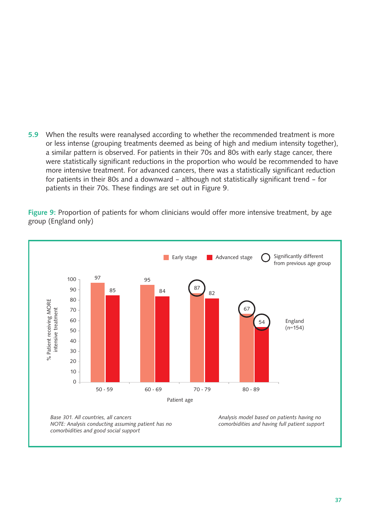5.9 When the results were reanalysed according to whether the recommended treatment is more or less intense (grouping treatments deemed as being of high and medium intensity together), a similar pattern is observed. For patients in their 70s and 80s with early stage cancer, there were statistically significant reductions in the proportion who would be recommended to have more intensive treatment. For advanced cancers, there was a statistically significant reduction for patients in their 80s and a downward – although not statistically significant trend – for patients in their 70s. These findings are set out in Figure 9.

Figure 9: Proportion of patients for whom clinicians would offer more intensive treatment, by age group (England only)

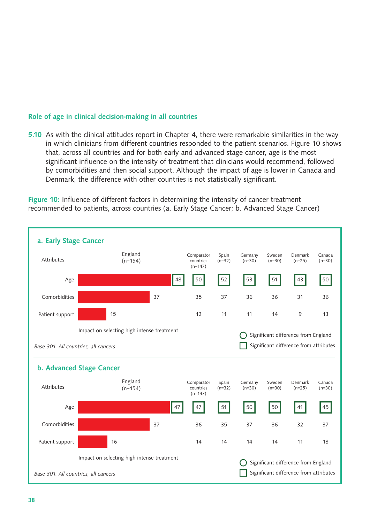#### Role of age in clinical decision-making in all countries

5.10 As with the clinical attitudes report in Chapter 4, there were remarkable similarities in the way in which clinicians from different countries responded to the patient scenarios. Figure 10 shows that, across all countries and for both early and advanced stage cancer, age is the most significant influence on the intensity of treatment that clinicians would recommend, followed by comorbidities and then social support. Although the impact of age is lower in Canada and Denmark, the difference with other countries is not statistically significant.

Figure 10: Influence of different factors in determining the intensity of cancer treatment recommended to patients, across countries (a. Early Stage Cancer; b. Advanced Stage Cancer)

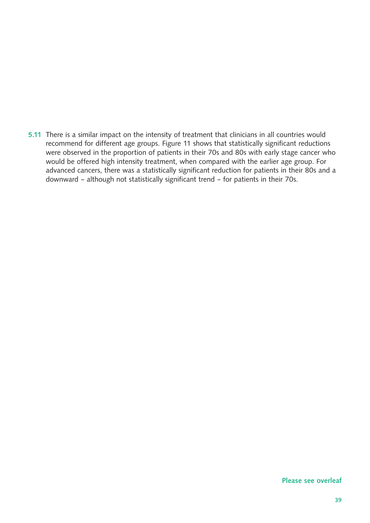5.11 There is a similar impact on the intensity of treatment that clinicians in all countries would recommend for different age groups. Figure 11 shows that statistically significant reductions were observed in the proportion of patients in their 70s and 80s with early stage cancer who would be offered high intensity treatment, when compared with the earlier age group. For advanced cancers, there was a statistically significant reduction for patients in their 80s and a downward – although not statistically significant trend – for patients in their 70s.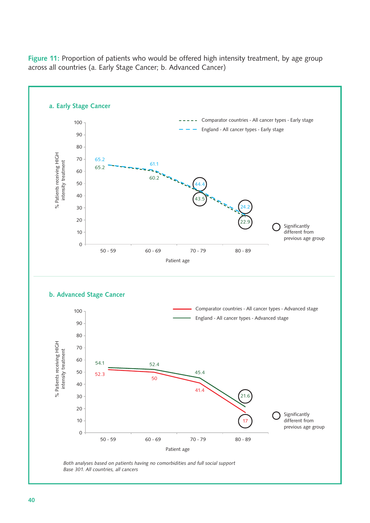

Figure 11: Proportion of patients who would be offered high intensity treatment, by age group across all countries (a. Early Stage Cancer; b. Advanced Cancer)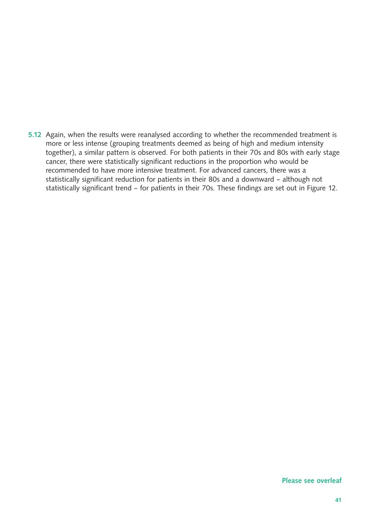5.12 Again, when the results were reanalysed according to whether the recommended treatment is more or less intense (grouping treatments deemed as being of high and medium intensity together), a similar pattern is observed. For both patients in their 70s and 80s with early stage cancer, there were statistically significant reductions in the proportion who would be recommended to have more intensive treatment. For advanced cancers, there was a statistically significant reduction for patients in their 80s and a downward – although not statistically significant trend – for patients in their 70s. These findings are set out in Figure 12.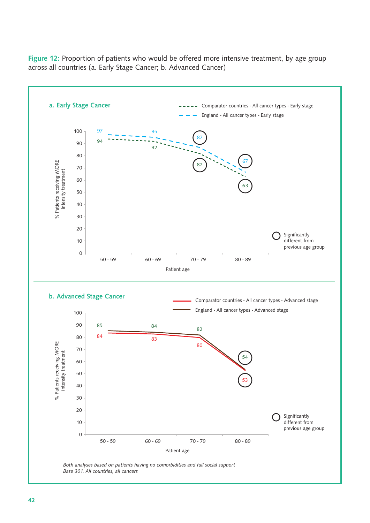

Figure 12: Proportion of patients who would be offered more intensive treatment, by age group across all countries (a. Early Stage Cancer; b. Advanced Cancer)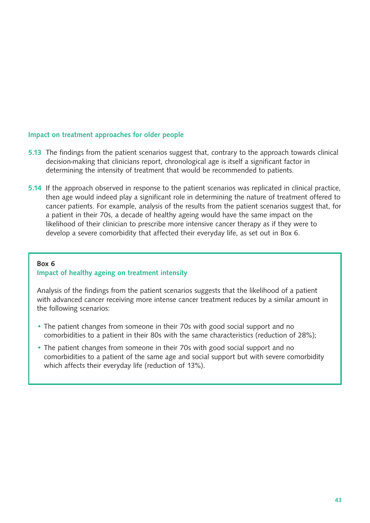#### Impact on treatment approaches for older people

- 5.13 The findings from the patient scenarios suggest that, contrary to the approach towards clinical decision-making that clinicians report, chronological age is itself a significant factor in determining the intensity of treatment that would be recommended to patients.
- 5.14 If the approach observed in response to the patient scenarios was replicated in clinical practice, then age would indeed play a significant role in determining the nature of treatment offered to cancer patients. For example, analysis of the results from the patient scenarios suggest that, for a patient in their 70s, a decade of healthy ageing would have the same impact on the likelihood of their clinician to prescribe more intensive cancer therapy as if they were to develop a severe comorbidity that affected their everyday life, as set out in Box 6.

#### Box 6 Impact of healthy ageing on treatment intensity

Analysis of the findings from the patient scenarios suggests that the likelihood of a patient with advanced cancer receiving more intense cancer treatment reduces by a similar amount in the following scenarios:

- The patient changes from someone in their 70s with good social support and no comorbidities to a patient in their 80s with the same characteristics (reduction of 28%);
- The patient changes from someone in their 70s with good social support and no comorbidities to a patient of the same age and social support but with severe comorbidity which affects their everyday life (reduction of 13%).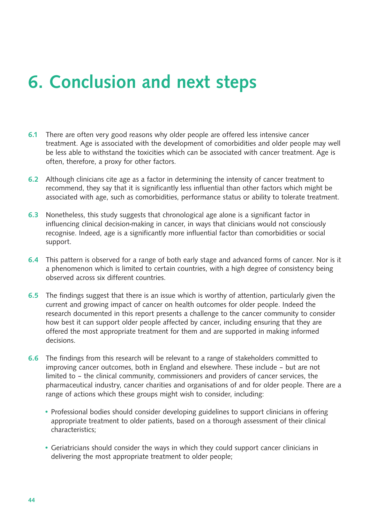# 6. Conclusion and next steps

- 6.1 There are often very good reasons why older people are offered less intensive cancer treatment. Age is associated with the development of comorbidities and older people may well be less able to withstand the toxicities which can be associated with cancer treatment. Age is often, therefore, a proxy for other factors.
- 6.2 Although clinicians cite age as a factor in determining the intensity of cancer treatment to recommend, they say that it is significantly less influential than other factors which might be associated with age, such as comorbidities, performance status or ability to tolerate treatment.
- 6.3 Nonetheless, this study suggests that chronological age alone is a significant factor in influencing clinical decision-making in cancer, in ways that clinicians would not consciously recognise. Indeed, age is a significantly more influential factor than comorbidities or social support.
- 6.4 This pattern is observed for a range of both early stage and advanced forms of cancer. Nor is it a phenomenon which is limited to certain countries, with a high degree of consistency being observed across six different countries.
- 6.5 The findings suggest that there is an issue which is worthy of attention, particularly given the current and growing impact of cancer on health outcomes for older people. Indeed the research documented in this report presents a challenge to the cancer community to consider how best it can support older people affected by cancer, including ensuring that they are offered the most appropriate treatment for them and are supported in making informed decisions.
- 6.6 The findings from this research will be relevant to a range of stakeholders committed to improving cancer outcomes, both in England and elsewhere. These include – but are not limited to – the clinical community, commissioners and providers of cancer services, the pharmaceutical industry, cancer charities and organisations of and for older people. There are a range of actions which these groups might wish to consider, including:
	- Professional bodies should consider developing guidelines to support clinicians in offering appropriate treatment to older patients, based on a thorough assessment of their clinical characteristics;
	- Geriatricians should consider the ways in which they could support cancer clinicians in delivering the most appropriate treatment to older people;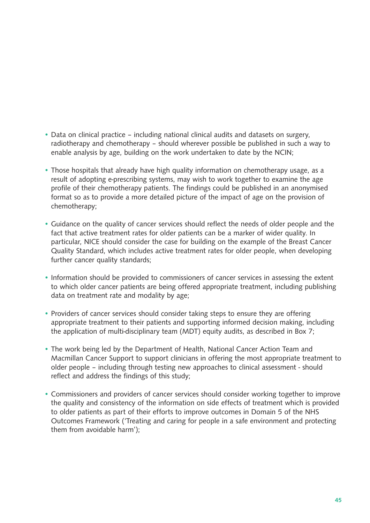- Data on clinical practice including national clinical audits and datasets on surgery, radiotherapy and chemotherapy – should wherever possible be published in such a way to enable analysis by age, building on the work undertaken to date by the NCIN;
- Those hospitals that already have high quality information on chemotherapy usage, as a result of adopting e-prescribing systems, may wish to work together to examine the age profile of their chemotherapy patients. The findings could be published in an anonymised format so as to provide a more detailed picture of the impact of age on the provision of chemotherapy;
- Guidance on the quality of cancer services should reflect the needs of older people and the fact that active treatment rates for older patients can be a marker of wider quality. In particular, NICE should consider the case for building on the example of the Breast Cancer Quality Standard, which includes active treatment rates for older people, when developing further cancer quality standards;
- Information should be provided to commissioners of cancer services in assessing the extent to which older cancer patients are being offered appropriate treatment, including publishing data on treatment rate and modality by age;
- Providers of cancer services should consider taking steps to ensure they are offering appropriate treatment to their patients and supporting informed decision making, including the application of multi-disciplinary team (MDT) equity audits, as described in Box 7;
- The work being led by the Department of Health, National Cancer Action Team and Macmillan Cancer Support to support clinicians in offering the most appropriate treatment to older people – including through testing new approaches to clinical assessment - should reflect and address the findings of this study;
- Commissioners and providers of cancer services should consider working together to improve the quality and consistency of the information on side effects of treatment which is provided to older patients as part of their efforts to improve outcomes in Domain 5 of the NHS Outcomes Framework ('Treating and caring for people in a safe environment and protecting them from avoidable harm');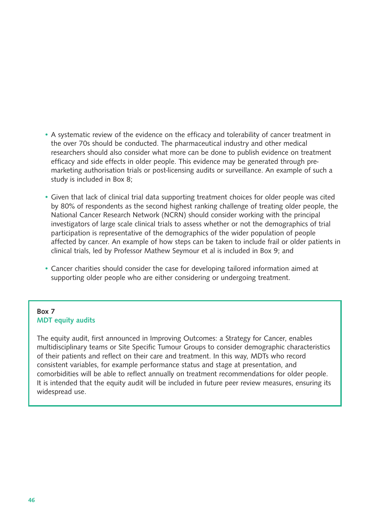- A systematic review of the evidence on the efficacy and tolerability of cancer treatment in the over 70s should be conducted. The pharmaceutical industry and other medical researchers should also consider what more can be done to publish evidence on treatment efficacy and side effects in older people. This evidence may be generated through premarketing authorisation trials or post-licensing audits or surveillance. An example of such a study is included in Box 8;
- Given that lack of clinical trial data supporting treatment choices for older people was cited by 80% of respondents as the second highest ranking challenge of treating older people, the National Cancer Research Network (NCRN) should consider working with the principal investigators of large scale clinical trials to assess whether or not the demographics of trial participation is representative of the demographics of the wider population of people affected by cancer. An example of how steps can be taken to include frail or older patients in clinical trials, led by Professor Mathew Seymour et al is included in Box 9; and
- Cancer charities should consider the case for developing tailored information aimed at supporting older people who are either considering or undergoing treatment.

#### Box 7 MDT equity audits

The equity audit, first announced in Improving Outcomes: a Strategy for Cancer, enables multidisciplinary teams or Site Specific Tumour Groups to consider demographic characteristics of their patients and reflect on their care and treatment. In this way, MDTs who record consistent variables, for example performance status and stage at presentation, and comorbidities will be able to reflect annually on treatment recommendations for older people. It is intended that the equity audit will be included in future peer review measures, ensuring its widespread use.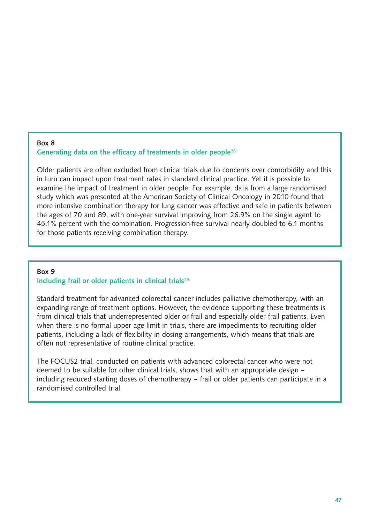#### Box 8 Generating data on the efficacy of treatments in older people<sup>28</sup>

Older patients are often excluded from clinical trials due to concerns over comorbidity and this in turn can impact upon treatment rates in standard clinical practice. Yet it is possible to examine the impact of treatment in older people. For example, data from a large randomised study which was presented at the American Society of Clinical Oncology in 2010 found that more intensive combination therapy for lung cancer was effective and safe in patients between the ages of 70 and 89, with one-year survival improving from 26.9% on the single agent to 45.1% percent with the combination. Progression-free survival nearly doubled to 6.1 months for those patients receiving combination therapy.

### Box 9 Including frail or older patients in clinical trials<sup>29</sup>

Standard treatment for advanced colorectal cancer includes palliative chemotherapy, with an expanding range of treatment options. However, the evidence supporting these treatments is from clinical trials that underrepresented older or frail and especially older frail patients. Even when there is no formal upper age limit in trials, there are impediments to recruiting older patients, including a lack of flexibility in dosing arrangements, which means that trials are often not representative of routine clinical practice.

The FOCUS2 trial, conducted on patients with advanced colorectal cancer who were not deemed to be suitable for other clinical trials, shows that with an appropriate design – including reduced starting doses of chemotherapy – frail or older patients can participate in a randomised controlled trial.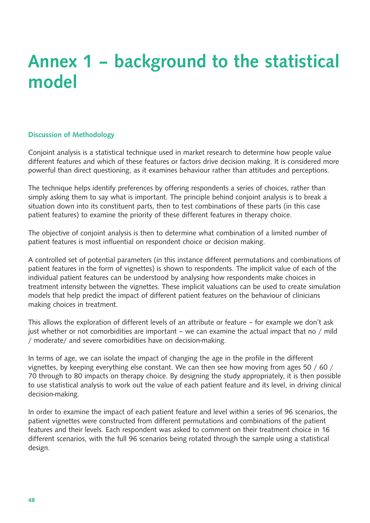# Annex 1 – background to the statistical model

#### Discussion of Methodology

Conjoint analysis is a statistical technique used in market research to determine how people value different features and which of these features or factors drive decision making. It is considered more powerful than direct questioning, as it examines behaviour rather than attitudes and perceptions.

The technique helps identify preferences by offering respondents a series of choices, rather than simply asking them to say what is important. The principle behind conjoint analysis is to break a situation down into its constituent parts, then to test combinations of these parts (in this case patient features) to examine the priority of these different features in therapy choice.

The objective of conjoint analysis is then to determine what combination of a limited number of patient features is most influential on respondent choice or decision making.

A controlled set of potential parameters (in this instance different permutations and combinations of patient features in the form of vignettes) is shown to respondents. The implicit value of each of the individual patient features can be understood by analysing how respondents make choices in treatment intensity between the vignettes. These implicit valuations can be used to create simulation models that help predict the impact of different patient features on the behaviour of clinicians making choices in treatment.

This allows the exploration of different levels of an attribute or feature – for example we don't ask just whether or not comorbidities are important – we can examine the actual impact that no / mild / moderate/ and severe comorbidities have on decision-making.

In terms of age, we can isolate the impact of changing the age in the profile in the different vignettes, by keeping everything else constant. We can then see how moving from ages 50 / 60 / 70 through to 80 impacts on therapy choice. By designing the study appropriately, it is then possible to use statistical analysis to work out the value of each patient feature and its level, in driving clinical decision-making.

In order to examine the impact of each patient feature and level within a series of 96 scenarios, the patient vignettes were constructed from different permutations and combinations of the patient features and their levels. Each respondent was asked to comment on their treatment choice in 16 different scenarios, with the full 96 scenarios being rotated through the sample using a statistical design.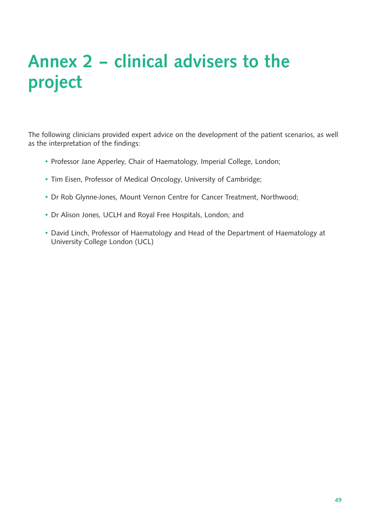# Annex 2 – clinical advisers to the project

The following clinicians provided expert advice on the development of the patient scenarios, as well as the interpretation of the findings:

- Professor Jane Apperley, Chair of Haematology, Imperial College, London;
- Tim Eisen, Professor of Medical Oncology, University of Cambridge;
- Dr Rob Glynne-Jones, Mount Vernon Centre for Cancer Treatment, Northwood;
- Dr Alison Jones, UCLH and Royal Free Hospitals, London; and
- David Linch, Professor of Haematology and Head of the Department of Haematology at University College London (UCL)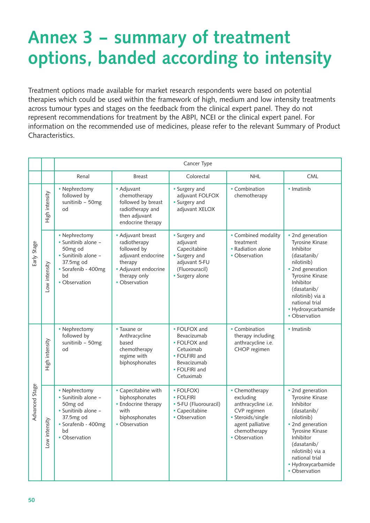# Annex 3 – summary of treatment options, banded according to intensity

Treatment options made available for market research respondents were based on potential therapies which could be used within the framework of high, medium and low intensity treatments across tumour types and stages on the feedback from the clinical expert panel. They do not represent recommendations for treatment by the ABPI, NCEI or the clinical expert panel. For information on the recommended use of medicines, please refer to the relevant Summary of Product Characteristics.

|                |                | Cancer Type                                                                                                                       |                                                                                                                                            |                                                                                                                        |                                                                                                                                            |                                                                                                                                                                                                                                      |
|----------------|----------------|-----------------------------------------------------------------------------------------------------------------------------------|--------------------------------------------------------------------------------------------------------------------------------------------|------------------------------------------------------------------------------------------------------------------------|--------------------------------------------------------------------------------------------------------------------------------------------|--------------------------------------------------------------------------------------------------------------------------------------------------------------------------------------------------------------------------------------|
|                |                | Renal                                                                                                                             | <b>Breast</b>                                                                                                                              | Colorectal                                                                                                             | <b>NHL</b>                                                                                                                                 | <b>CML</b>                                                                                                                                                                                                                           |
|                | High intensity | • Nephrectomy<br>followed by<br>sunitinib - 50mg<br>od                                                                            | • Adjuvant<br>chemotherapy<br>followed by breast<br>radiotherapy and<br>then adjuvant<br>endocrine therapy                                 | • Surgery and<br>adjuvant FOLFOX<br>• Surgery and<br>adjuvant XELOX                                                    | • Combination<br>chemotherapy                                                                                                              | · Imatinib                                                                                                                                                                                                                           |
| Early Stage    | Low intensity  | • Nephrectomy<br>· Sunitinib alone -<br>50mg od<br>· Sunitinib alone -<br>37.5mg od<br>· Sorafenib - 400mg<br>bd<br>• Observation | • Adjuvant breast<br>radiotherapy<br>followed by<br>adjuvant endocrine<br>therapy<br>• Adjuvant endocrine<br>therapy only<br>• Observation | • Surgery and<br>adjuvant<br>Capecitabine<br>• Surgery and<br>adjuvant 5-FU<br>(Fluorouracil)<br>• Surgery alone       | • Combined modality<br>treatment<br>• Radiation alone<br>• Observation                                                                     | • 2nd generation<br><b>Tyrosine Kinase</b><br>Inhibitor<br>(dasatanib/<br>nilotinib)<br>• 2nd generation<br>Tyrosine Kinase<br>Inhibitor<br>(dasatanib/<br>nilotinib) via a<br>national trial<br>• Hydroxycarbamide<br>• Observation |
|                | High intensity | • Nephrectomy<br>followed by<br>sunitinib - 50mg<br>od                                                                            | • Taxane or<br>Anthracycline<br>based<br>chemotherapy<br>regime with<br>biphosphonates                                                     | • FOLFOX and<br>Bevacizumab<br>• FOLFOX and<br>Cetuximab<br>• FOLFIRI and<br>Bevacizumab<br>• FOLFIRI and<br>Cetuximab | • Combination<br>therapy including<br>anthracycline i.e.<br>CHOP regimen                                                                   | • Imatinib                                                                                                                                                                                                                           |
| Advanced Stage | Low intensity  | • Nephrectomy<br>• Sunitinib alone -<br>50mg od<br>· Sunitinib alone -<br>37.5mg od<br>· Sorafenib - 400mg<br>bd<br>• Observation | • Capecitabine with<br>biphosphonates<br>• Endocrine therapy<br>with<br>biphosphonates<br>• Observation                                    | • FOLFOX)<br>• FOLFIRI<br>• 5-FU (Fluorouracil)<br>• Capecitabine<br>• Observation                                     | • Chemotherapy<br>excluding<br>anthracycline i.e.<br>CVP regimen<br>· Steroids/single<br>agent palliative<br>chemotherapy<br>• Observation | • 2nd generation<br>Tyrosine Kinase<br>Inhibitor<br>(dasatanib/<br>nilotinib)<br>• 2nd generation<br><b>Tyrosine Kinase</b><br>Inhibitor<br>(dasatanib/<br>nilotinib) via a<br>national trial<br>• Hydroxycarbamide<br>• Observation |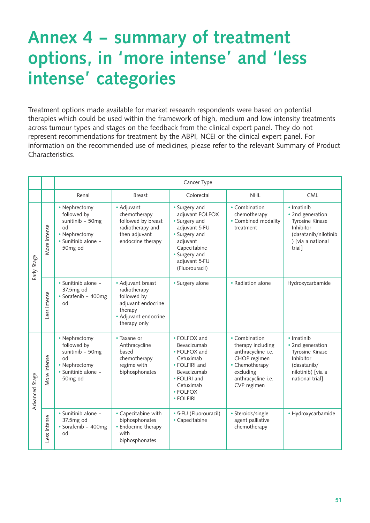# Annex 4 – summary of treatment options, in 'more intense' and 'less intense' categories

Treatment options made available for market research respondents were based on potential therapies which could be used within the framework of high, medium and low intensity treatments across tumour types and stages on the feedback from the clinical expert panel. They do not represent recommendations for treatment by the ABPI, NCEI or the clinical expert panel. For information on the recommended use of medicines, please refer to the relevant Summary of Product Characteristics.

|                |              | Cancer Type                                                                                                           |                                                                                                                           |                                                                                                                                                                     |                                                                                                                                              |                                                                                                                       |
|----------------|--------------|-----------------------------------------------------------------------------------------------------------------------|---------------------------------------------------------------------------------------------------------------------------|---------------------------------------------------------------------------------------------------------------------------------------------------------------------|----------------------------------------------------------------------------------------------------------------------------------------------|-----------------------------------------------------------------------------------------------------------------------|
|                |              | Renal                                                                                                                 | <b>Breast</b>                                                                                                             | Colorectal                                                                                                                                                          | <b>NHL</b>                                                                                                                                   | <b>CML</b>                                                                                                            |
| Early Stage    | More intense | • Nephrectomy<br>followed by<br>sunitinib - 50mg<br>ho<br>• Nephrectomy<br>· Sunitinib alone -<br>50 <sub>mg</sub> od | • Adjuvant<br>chemotherapy<br>followed by breast<br>radiotherapy and<br>then adjuvant<br>endocrine therapy                | • Surgery and<br>adjuvant FOLFOX<br>• Surgery and<br>adjuvant 5-FU<br>• Surgery and<br>adjuvant<br>Capecitabine<br>• Surgery and<br>adjuvant 5-FU<br>(Fluorouracil) | • Combination<br>chemotherapy<br>• Combined modality<br>treatment                                                                            | • Imatinib<br>• 2nd generation<br>Tyrosine Kinase<br>Inhibitor<br>(dasatanib/nilotinib<br>) [via a national<br>trial] |
|                | Less intense | · Sunitinib alone -<br>37.5mg od<br>· Sorafenib - 400mg<br>ho                                                         | • Adjuvant breast<br>radiotherapy<br>followed by<br>adjuvant endocrine<br>therapy<br>• Adjuvant endocrine<br>therapy only | · Surgery alone                                                                                                                                                     | • Radiation alone                                                                                                                            | Hydroxycarbamide                                                                                                      |
| Advanced Stage | More intense | • Nephrectomy<br>followed by<br>sunitinib - 50mg<br>od<br>• Nephrectomy<br>• Sunitinib alone -<br>50mg od             | • Taxane or<br>Anthracycline<br>based<br>chemotherapy<br>regime with<br>biphosphonates                                    | • FOLFOX and<br>Bevacizumab<br>• FOLFOX and<br>Cetuximab<br>• FOLFIRI and<br>Bevacizumab<br>• FOLIRI and<br>Cetuximab<br>• FOLFOX<br>• FOLFIRI                      | • Combination<br>therapy including<br>anthracycline i.e.<br>CHOP regimen<br>• Chemotherapy<br>excluding<br>anthracycline i.e.<br>CVP regimen | · Imatinib<br>• 2nd generation<br>Tyrosine Kinase<br>Inhibitor<br>(dasatanib/<br>nilotinib) [via a<br>national trial] |
|                | Less intense | · Sunitinib alone -<br>37.5mg od<br>· Sorafenib - 400mg<br>od                                                         | • Capecitabine with<br>biphosphonates<br>• Endocrine therapy<br>with<br>biphosphonates                                    | • 5-FU (Fluorouracil)<br>• Capecitabine                                                                                                                             | • Steroids/single<br>agent palliative<br>chemotherapy                                                                                        | • Hydroxycarbamide                                                                                                    |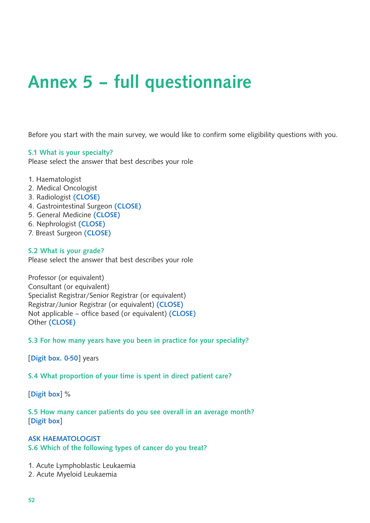# Annex 5 – full questionnaire

Before you start with the main survey, we would like to confirm some eligibility questions with you.

#### S.1 What is your specialty?

Please select the answer that best describes your role

- 1. Haematologist
- 2. Medical Oncologist
- 3. Radiologist (CLOSE)
- 4. Gastrointestinal Surgeon (CLOSE)
- 5. General Medicine (CLOSE)
- 6. Nephrologist (CLOSE)
- 7. Breast Surgeon (CLOSE)

#### S.2 What is your grade?

Please select the answer that best describes your role

Professor (or equivalent) Consultant (or equivalent) Specialist Registrar/Senior Registrar (or equivalent) Registrar/Junior Registrar (or equivalent) (CLOSE) Not applicable – office based (or equivalent) (CLOSE) Other (CLOSE)

S.3 For how many years have you been in practice for your speciality?

[Digit box. 0-50] years

#### S.4 What proportion of your time is spent in direct patient care?

[Digit box] %

S.5 How many cancer patients do you see overall in an average month? [Digit box]

### ASK HAEMATOLOGIST S.6 Which of the following types of cancer do you treat?

- 1. Acute Lymphoblastic Leukaemia
- 2. Acute Myeloid Leukaemia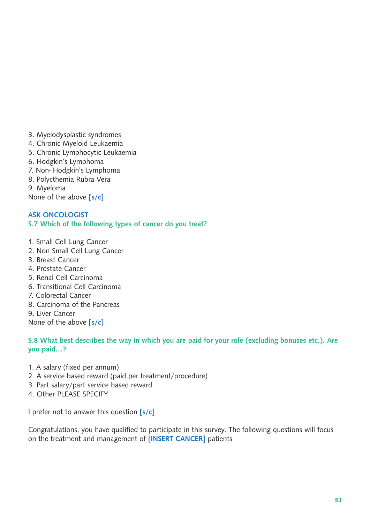- 3. Myelodysplastic syndromes
- 4. Chronic Myeloid Leukaemia
- 5. Chronic Lymphocytic Leukaemia
- 6. Hodgkin's Lymphoma
- 7. Non- Hodgkin's Lymphoma
- 8. Polycthemia Rubra Vera

9. Myeloma

None of the above [s/c]

### ASK ONCOLOGIST S.7 Which of the following types of cancer do you treat?

- 1. Small Cell Lung Cancer
- 2. Non Small Cell Lung Cancer
- 3. Breast Cancer
- 4. Prostate Cancer
- 5. Renal Cell Carcinoma
- 6. Transitional Cell Carcinoma
- 7. Colorectal Cancer
- 8. Carcinoma of the Pancreas
- 9. Liver Cancer

None of the above [s/c]

#### S.8 What best describes the way in which you are paid for your role (excluding bonuses etc.). Are you paid…?

- 1. A salary (fixed per annum)
- 2. A service based reward (paid per treatment/procedure)
- 3. Part salary/part service based reward
- 4. Other PLEASE SPECIFY

I prefer not to answer this question  $[s/c]$ 

Congratulations, you have qualified to participate in this survey. The following questions will focus on the treatment and management of [INSERT CANCER] patients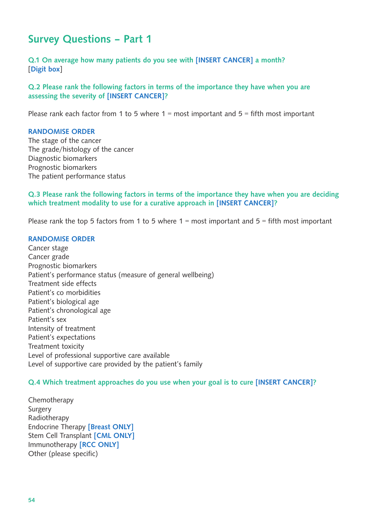## Survey Questions – Part 1

Q.1 On average how many patients do you see with [INSERT CANCER] a month? [Digit box]

Q.2 Please rank the following factors in terms of the importance they have when you are assessing the severity of [INSERT CANCER]?

Please rank each factor from 1 to 5 where  $1 =$  most important and  $5 =$  fifth most important

#### RANDOMISE ORDER

The stage of the cancer The grade/histology of the cancer Diagnostic biomarkers Prognostic biomarkers The patient performance status

### Q.3 Please rank the following factors in terms of the importance they have when you are deciding which treatment modality to use for a curative approach in [INSERT CANCER]?

Please rank the top 5 factors from 1 to 5 where  $1 =$  most important and  $5 =$  fifth most important

#### RANDOMISE ORDER

Cancer stage Cancer grade Prognostic biomarkers Patient's performance status (measure of general wellbeing) Treatment side effects Patient's co morbidities Patient's biological age Patient's chronological age Patient's sex Intensity of treatment Patient's expectations Treatment toxicity Level of professional supportive care available Level of supportive care provided by the patient's family

#### Q.4 Which treatment approaches do you use when your goal is to cure [INSERT CANCER]?

Chemotherapy Surgery Radiotherapy Endocrine Therapy [Breast ONLY] Stem Cell Transplant [CML ONLY] Immunotherapy [RCC ONLY] Other (please specific)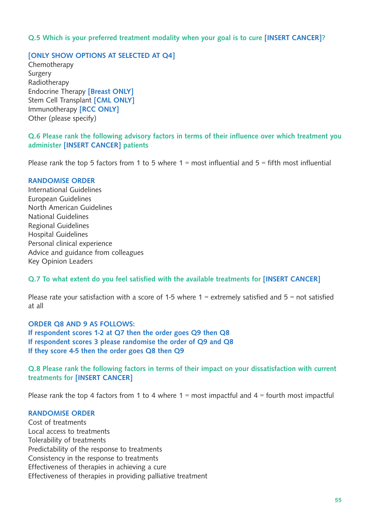### Q.5 Which is your preferred treatment modality when your goal is to cure [INSERT CANCER]?

### [ONLY SHOW OPTIONS AT SELECTED AT Q4]

Chemotherapy Surgery Radiotherapy Endocrine Therapy [Breast ONLY] Stem Cell Transplant [CML ONLY] Immunotherapy [RCC ONLY] Other (please specify)

### Q.6 Please rank the following advisory factors in terms of their influence over which treatment you administer [INSERT CANCER] patients

Please rank the top 5 factors from 1 to 5 where  $1 =$  most influential and  $5 =$  fifth most influential

#### RANDOMISE ORDER

International Guidelines European Guidelines North American Guidelines National Guidelines Regional Guidelines Hospital Guidelines Personal clinical experience Advice and guidance from colleagues Key Opinion Leaders

#### Q.7 To what extent do you feel satisfied with the available treatments for [INSERT CANCER]

Please rate your satisfaction with a score of 1-5 where  $1$  = extremely satisfied and  $5$  = not satisfied at all

ORDER Q8 AND 9 AS FOLLOWS: If respondent scores 1-2 at Q7 then the order goes Q9 then Q8 If respondent scores 3 please randomise the order of Q9 and Q8 If they score 4-5 then the order goes Q8 then Q9

Q.8 Please rank the following factors in terms of their impact on your dissatisfaction with current treatments for [INSERT CANCER]

Please rank the top 4 factors from 1 to 4 where  $1 =$  most impactful and  $4 =$  fourth most impactful

#### RANDOMISE ORDER

Cost of treatments Local access to treatments Tolerability of treatments Predictability of the response to treatments Consistency in the response to treatments Effectiveness of therapies in achieving a cure Effectiveness of therapies in providing palliative treatment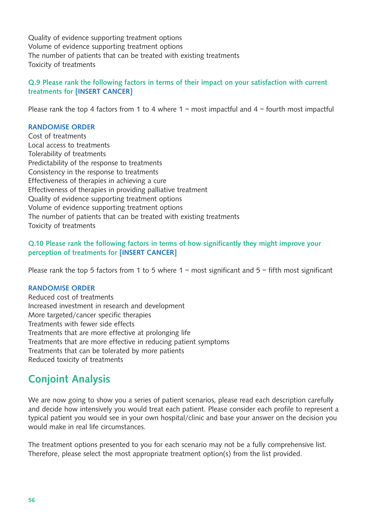Quality of evidence supporting treatment options Volume of evidence supporting treatment options The number of patients that can be treated with existing treatments Toxicity of treatments

### Q.9 Please rank the following factors in terms of their impact on your satisfaction with current treatments for [INSERT CANCER]

Please rank the top 4 factors from 1 to 4 where  $1 =$  most impactful and  $4 =$  fourth most impactful

### RANDOMISE ORDER

Cost of treatments Local access to treatments Tolerability of treatments Predictability of the response to treatments Consistency in the response to treatments Effectiveness of therapies in achieving a cure Effectiveness of therapies in providing palliative treatment Quality of evidence supporting treatment options Volume of evidence supporting treatment options The number of patients that can be treated with existing treatments Toxicity of treatments

### Q.10 Please rank the following factors in terms of how significantly they might improve your perception of treatments for [INSERT CANCER]

Please rank the top 5 factors from 1 to 5 where  $1 = \text{most significant}$  and  $5 = \text{fifth most significant}$ 

#### RANDOMISE ORDER

Reduced cost of treatments Increased investment in research and development More targeted/cancer specific therapies Treatments with fewer side effects Treatments that are more effective at prolonging life Treatments that are more effective in reducing patient symptoms Treatments that can be tolerated by more patients Reduced toxicity of treatments

## Conjoint Analysis

We are now going to show you a series of patient scenarios, please read each description carefully and decide how intensively you would treat each patient. Please consider each profile to represent a typical patient you would see in your own hospital/clinic and base your answer on the decision you would make in real life circumstances.

The treatment options presented to you for each scenario may not be a fully comprehensive list. Therefore, please select the most appropriate treatment option(s) from the list provided.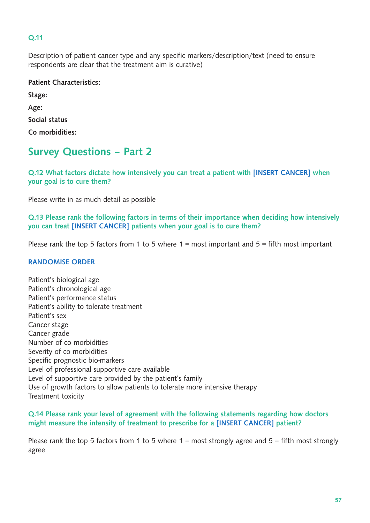### Q.11

Description of patient cancer type and any specific markers/description/text (need to ensure respondents are clear that the treatment aim is curative)

| <b>Patient Characteristics:</b> |
|---------------------------------|
| Stage:                          |
| Age:                            |
| Social status                   |
| Co morbidities:                 |

## Survey Questions – Part 2

Q.12 What factors dictate how intensively you can treat a patient with [INSERT CANCER] when your goal is to cure them?

Please write in as much detail as possible

Q.13 Please rank the following factors in terms of their importance when deciding how intensively you can treat [INSERT CANCER] patients when your goal is to cure them?

Please rank the top 5 factors from 1 to 5 where  $1 =$  most important and  $5 =$  fifth most important

#### RANDOMISE ORDER

Patient's biological age Patient's chronological age Patient's performance status Patient's ability to tolerate treatment Patient's sex Cancer stage Cancer grade Number of co morbidities Severity of co morbidities Specific prognostic bio-markers Level of professional supportive care available Level of supportive care provided by the patient's family Use of growth factors to allow patients to tolerate more intensive therapy Treatment toxicity

### Q.14 Please rank your level of agreement with the following statements regarding how doctors might measure the intensity of treatment to prescribe for a [INSERT CANCER] patient?

Please rank the top 5 factors from 1 to 5 where  $1 = \text{most strongly agree}$  and  $5 = \text{fifth most strongly}$ agree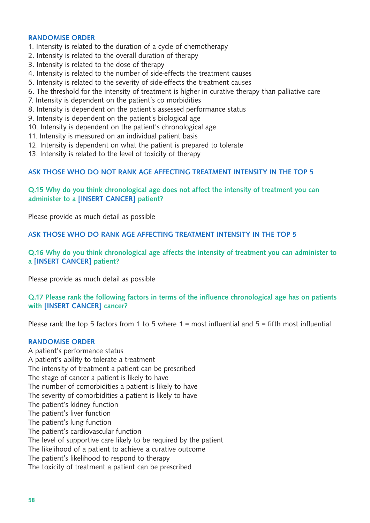#### RANDOMISE ORDER

- 1. Intensity is related to the duration of a cycle of chemotherapy
- 2. Intensity is related to the overall duration of therapy
- 3. Intensity is related to the dose of therapy
- 4. Intensity is related to the number of side-effects the treatment causes
- 5. Intensity is related to the severity of side-effects the treatment causes
- 6. The threshold for the intensity of treatment is higher in curative therapy than palliative care
- 7. Intensity is dependent on the patient's co morbidities
- 8. Intensity is dependent on the patient's assessed performance status
- 9. Intensity is dependent on the patient's biological age
- 10. Intensity is dependent on the patient's chronological age
- 11. Intensity is measured on an individual patient basis
- 12. Intensity is dependent on what the patient is prepared to tolerate
- 13. Intensity is related to the level of toxicity of therapy

#### ASK THOSE WHO DO NOT RANK AGE AFFECTING TREATMENT INTENSITY IN THE TOP 5

### Q.15 Why do you think chronological age does not affect the intensity of treatment you can administer to a [INSERT CANCER] patient?

Please provide as much detail as possible

ASK THOSE WHO DO RANK AGE AFFECTING TREATMENT INTENSITY IN THE TOP 5

#### Q.16 Why do you think chronological age affects the intensity of treatment you can administer to a [INSERT CANCER] patient?

Please provide as much detail as possible

#### Q.17 Please rank the following factors in terms of the influence chronological age has on patients with [INSERT CANCER] cancer?

Please rank the top 5 factors from 1 to 5 where  $1 =$  most influential and  $5 =$  fifth most influential

#### RANDOMISE ORDER

A patient's performance status A patient's ability to tolerate a treatment The intensity of treatment a patient can be prescribed The stage of cancer a patient is likely to have The number of comorbidities a patient is likely to have The severity of comorbidities a patient is likely to have The patient's kidney function The patient's liver function The patient's lung function The patient's cardiovascular function The level of supportive care likely to be required by the patient The likelihood of a patient to achieve a curative outcome The patient's likelihood to respond to therapy The toxicity of treatment a patient can be prescribed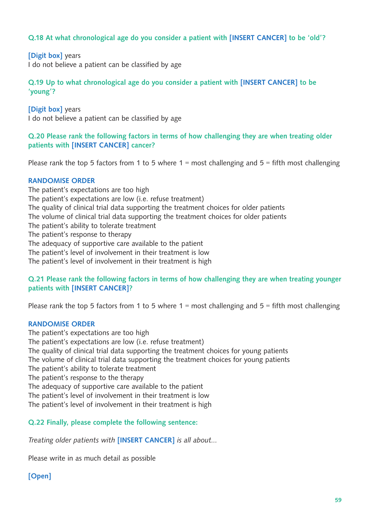### Q.18 At what chronological age do you consider a patient with [INSERT CANCER] to be 'old'?

#### [Digit box] years

I do not believe a patient can be classified by age

Q.19 Up to what chronological age do you consider a patient with [INSERT CANCER] to be 'young'?

[Digit box] years I do not believe a patient can be classified by age

#### Q.20 Please rank the following factors in terms of how challenging they are when treating older patients with [INSERT CANCER] cancer?

Please rank the top 5 factors from 1 to 5 where  $1 =$  most challenging and  $5 =$  fifth most challenging

#### RANDOMISE ORDER

The patient's expectations are too high The patient's expectations are low (i.e. refuse treatment) The quality of clinical trial data supporting the treatment choices for older patients The volume of clinical trial data supporting the treatment choices for older patients The patient's ability to tolerate treatment The patient's response to therapy The adequacy of supportive care available to the patient The patient's level of involvement in their treatment is low The patient's level of involvement in their treatment is high

#### Q.21 Please rank the following factors in terms of how challenging they are when treating younger patients with [INSERT CANCER]?

Please rank the top 5 factors from 1 to 5 where  $1 =$  most challenging and  $5 =$  fifth most challenging

#### RANDOMISE ORDER

The patient's expectations are too high The patient's expectations are low (i.e. refuse treatment) The quality of clinical trial data supporting the treatment choices for young patients The volume of clinical trial data supporting the treatment choices for young patients The patient's ability to tolerate treatment The patient's response to the therapy The adequacy of supportive care available to the patient The patient's level of involvement in their treatment is low The patient's level of involvement in their treatment is high

#### Q.22 Finally, please complete the following sentence:

*Treating older patients with* [INSERT CANCER] *is all about…*

Please write in as much detail as possible

#### [Open]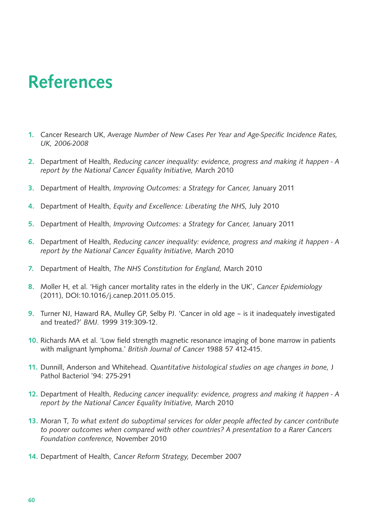## References

- 1. Cancer Research UK, *Average Number of New Cases Per Year and Age-Specific Incidence Rates, UK, 2006-2008*
- 2. Department of Health, *Reducing cancer inequality: evidence, progress and making it happen A report by the National Cancer Equality Initiative,* March 2010
- 3. Department of Health, *Improving Outcomes: a Strategy for Cancer,* January 2011
- 4. Department of Health, *Equity and Excellence: Liberating the NHS,* July 2010
- 5. Department of Health, *Improving Outcomes: a Strategy for Cancer,* January 2011
- 6. Department of Health, *Reducing cancer inequality: evidence, progress and making it happen A report by the National Cancer Equality Initiative,* March 2010
- 7. Department of Health, *The NHS Constitution for England,* March 2010
- 8. Moller H, et al. 'High cancer mortality rates in the elderly in the UK', *Cancer Epidemiology* (2011), DOI:10.1016/j.canep.2011.05.015.
- 9. Turner NJ, Haward RA, Mulley GP, Selby PJ. 'Cancer in old age is it inadequately investigated and treated?' *BMJ*. 1999 319:309-12.
- 10. Richards MA et al. 'Low field strength magnetic resonance imaging of bone marrow in patients with malignant lymphoma.' *British Journal of Cancer* 1988 57 412-415.
- 11. Dunnill, Anderson and Whitehead. *Quantitative histological studies on age changes in bone,* J Pathol Bacteriol '94: 275-291
- 12. Department of Health, *Reducing cancer inequality: evidence, progress and making it happen A report by the National Cancer Equality Initiative,* March 2010
- 13. Moran T, *To what extent do suboptimal services for older people affected by cancer contribute to poorer outcomes when compared with other countries? A presentation to a Rarer Cancers Foundation conference,* November 2010
- 14. Department of Health, *Cancer Reform Strategy,* December 2007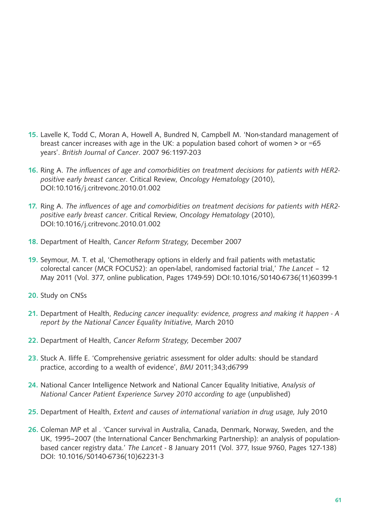- 15. Lavelle K, Todd C, Moran A, Howell A, Bundred N, Campbell M. 'Non-standard management of breast cancer increases with age in the UK: a population based cohort of women  $>$  or  $=65$ years'. *British Journal of Cancer*. 2007 96:1197-203
- 16. Ring A. *The influences of age and comorbidities on treatment decisions for patients with HER2 positive early breast cancer*. Critical Review, *Oncology Hematology* (2010), DOI:10.1016/j.critrevonc.2010.01.002
- 17. Ring A. *The influences of age and comorbidities on treatment decisions for patients with HER2 positive early breast cancer*. Critical Review, *Oncology Hematology* (2010), DOI:10.1016/j.critrevonc.2010.01.002
- 18. Department of Health, *Cancer Reform Strategy,* December 2007
- 19. Seymour, M. T. et al, 'Chemotherapy options in elderly and frail patients with metastatic colorectal cancer (MCR FOCUS2): an open-label, randomised factorial trial,' *The Lancet* – 12 May 2011 (Vol. 377, online publication, Pages 1749-59) DOI:10.1016/S0140-6736(11)60399-1
- 20. Study on CNSs
- 21. Department of Health, *Reducing cancer inequality: evidence, progress and making it happen A report by the National Cancer Equality Initiative,* March 2010
- 22. Department of Health, *Cancer Reform Strategy,* December 2007
- 23. Stuck A. Iliffe E. 'Comprehensive geriatric assessment for older adults: should be standard practice, according to a wealth of evidence', *BMJ* 2011;343;d6799
- 24. National Cancer Intelligence Network and National Cancer Equality Initiative, *Analysis of National Cancer Patient Experience Survey 2010 according to age* (unpublished)
- 25. Department of Health, *Extent and causes of international variation in drug usage,* July 2010
- 26. Coleman MP et al . 'Cancer survival in Australia, Canada, Denmark, Norway, Sweden, and the UK, 1995–2007 (the International Cancer Benchmarking Partnership): an analysis of populationbased cancer registry data.' *The Lancet* - 8 January 2011 (Vol. 377, Issue 9760, Pages 127-138) DOI: 10.1016/S0140-6736(10)62231-3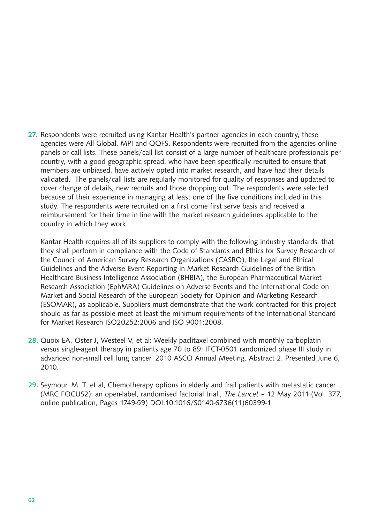27. Respondents were recruited using Kantar Health's partner agencies in each country, these agencies were All Global, MPI and QQFS. Respondents were recruited from the agencies online panels or call lists. These panels/call list consist of a large number of healthcare professionals per country, with a good geographic spread, who have been specifically recruited to ensure that members are unbiased, have actively opted into market research, and have had their details validated. The panels/call lists are regularly monitored for quality of responses and updated to cover change of details, new recruits and those dropping out. The respondents were selected because of their experience in managing at least one of the five conditions included in this study. The respondents were recruited on a first come first serve basis and received a reimbursement for their time in line with the market research guidelines applicable to the country in which they work.

Kantar Health requires all of its suppliers to comply with the following industry standards: that they shall perform in compliance with the Code of Standards and Ethics for Survey Research of the Council of American Survey Research Organizations (CASRO), the Legal and Ethical Guidelines and the Adverse Event Reporting in Market Research Guidelines of the British Healthcare Business Intelligence Association (BHBIA), the European Pharmaceutical Market Research Association (EphMRA) Guidelines on Adverse Events and the International Code on Market and Social Research of the European Society for Opinion and Marketing Research (ESOMAR), as applicable. Suppliers must demonstrate that the work contracted for this project should as far as possible meet at least the minimum requirements of the International Standard for Market Research ISO20252:2006 and ISO 9001:2008.

- 28. Quoix EA, Oster J, Westeel V, et al: Weekly paclitaxel combined with monthly carboplatin versus single-agent therapy in patients age 70 to 89: IFCT-0501 randomized phase III study in advanced non-small cell lung cancer. 2010 ASCO Annual Meeting. Abstract 2. Presented June 6, 2010.
- 29. Seymour, M. T. et al, Chemotherapy options in elderly and frail patients with metastatic cancer (MRC FOCUS2): an open-label, randomised factorial trial', *The Lancet* – 12 May 2011 (Vol. 377, online publication, Pages 1749-59) DOI:10.1016/S0140-6736(11)60399-1